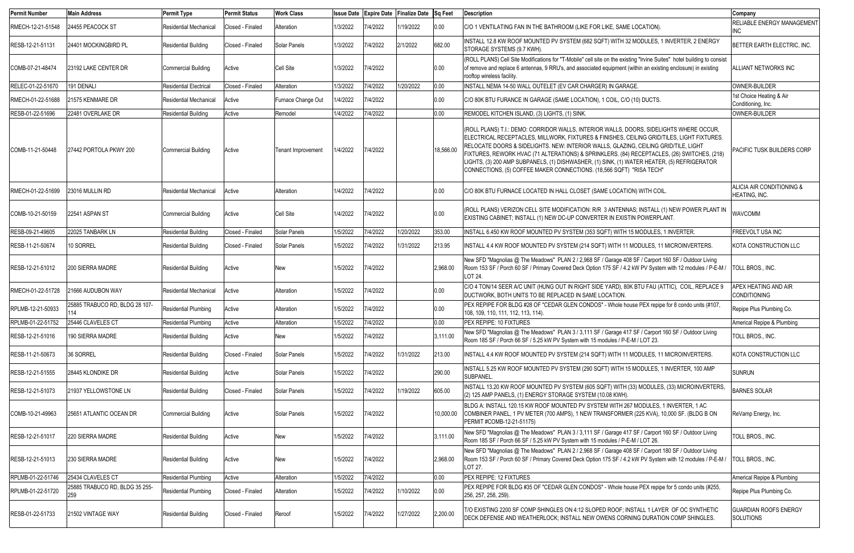| <b>Permit Number</b> | <b>Main Address</b>                   | <b>Permit Type</b>            | <b>Permit Status</b> | <b>Work Class</b>  | <b>Issue Date</b> |          | Expire Date Finalize Date Sq Feet |           | <b>Description</b>                                                                                                                                                                                                                                                                                                                                                                                                                                                                                                                                 | Company                                            |
|----------------------|---------------------------------------|-------------------------------|----------------------|--------------------|-------------------|----------|-----------------------------------|-----------|----------------------------------------------------------------------------------------------------------------------------------------------------------------------------------------------------------------------------------------------------------------------------------------------------------------------------------------------------------------------------------------------------------------------------------------------------------------------------------------------------------------------------------------------------|----------------------------------------------------|
| RMECH-12-21-51548    | 24455 PEACOCK ST                      | <b>Residential Mechanical</b> | Closed - Finaled     | Alteration         | 1/3/2022          | 7/4/2022 | 1/19/2022                         | 0.00      | C/O 1 VENTILATING FAN IN THE BATHROOM (LIKE FOR LIKE, SAME LOCATION).                                                                                                                                                                                                                                                                                                                                                                                                                                                                              | <b>RELIABLE ENERGY MANAGEMENT</b><br>INC.          |
| RESB-12-21-51131     | 24401 MOCKINGBIRD PL                  | <b>Residential Building</b>   | Closed - Finaled     | Solar Panels       | 1/3/2022          | 7/4/2022 | 2/1/2022                          | 682.00    | INSTALL 12.8 KW ROOF MOUNTED PV SYSTEM (682 SQFT) WITH 32 MODULES, 1 INVERTER, 2 ENERGY<br>STORAGE SYSTEMS (9.7 KWH).                                                                                                                                                                                                                                                                                                                                                                                                                              | BETTER EARTH ELECTRIC, INC.                        |
| COMB-07-21-48474     | 23192 LAKE CENTER DR                  | <b>Commercial Building</b>    | Active               | Cell Site          | 1/3/2022          | 7/4/2022 |                                   | 0.00      | (ROLL PLANS) Cell Site Modifications for "T-Mobile" cell site on the existing "Irvine Suites" hotel building to consist<br>of remove and replace 6 antennas, 9 RRU's, and associated equipment (within an existing enclosure) in existing<br>rooftop wireless facility.                                                                                                                                                                                                                                                                            | <b>ALLIANT NETWORKS INC</b>                        |
| RELEC-01-22-51670    | 191 DENALI                            | <b>Residential Electrical</b> | Closed - Finaled     | Alteration         | 1/3/2022          | 7/4/2022 | 1/20/2022                         | 0.00      | INSTALL NEMA 14-50 WALL OUTELET (EV CAR CHARGER) IN GARAGE.                                                                                                                                                                                                                                                                                                                                                                                                                                                                                        | OWNER-BUILDER                                      |
| RMECH-01-22-51688    | 21575 KENMARE DR                      | Residential Mechanical        | Active               | Furnace Change Out | 1/4/2022          | 7/4/2022 |                                   | 0.00      | C/O 80K BTU FURANCE IN GARAGE (SAME LOCATION), 1 COIL, C/O (10) DUCTS.                                                                                                                                                                                                                                                                                                                                                                                                                                                                             | 1st Choice Heating & Air<br>Conditioning, Inc.     |
| RESB-01-22-51696     | 22481 OVERLAKE DR                     | <b>Residential Building</b>   | Active               | Remodel            | 1/4/2022          | 7/4/2022 |                                   | 0.00      | REMODEL KITCHEN ISLAND, (3) LIGHTS, (1) SINK.                                                                                                                                                                                                                                                                                                                                                                                                                                                                                                      | OWNER-BUILDER                                      |
| COMB-11-21-50448     | 27442 PORTOLA PKWY 200                | Commercial Building           | Active               | Tenant Improvement | 1/4/2022          | 7/4/2022 |                                   | 18,566.00 | (ROLL PLANS) T.I.: DEMO: CORRIDOR WALLS, INTERIOR WALLS, DOORS, SIDELIGHTS WHERE OCCUR,<br>ELECTRICAL RECEPTACLES, MILLWORK, FIXTURES & FINISHES, CEILING GRID/TILES, LIGHT FIXTURES.<br>RELOCATE DOORS & SIDELIGHTS. NEW: INTERIOR WALLS, GLAZING, CEILING GRID/TILE, LIGHT<br>FIXTURES, REWORK HVAC (71 ALTERATIONS) & SPRINKLERS. (84) RECEPTACLES, (26) SWITCHES, (218)<br>LIGHTS, (3) 200 AMP SUBPANELS, (1) DISHWASHER, (1) SINK, (1) WATER HEATER, (5) REFRIGERATOR<br>CONNECTIONS, (5) COFFEE MAKER CONNECTIONS. (18,566 SQFT) "RISA TECH" | PACIFIC TUSK BUILDERS CORP                         |
| RMECH-01-22-51699    | 23016 MULLIN RD                       | <b>Residential Mechanical</b> | Active               | Alteration         | 1/4/2022          | 7/4/2022 |                                   | 0.00      | C/O 80K BTU FURNACE LOCATED IN HALL CLOSET (SAME LOCATION) WITH COIL.                                                                                                                                                                                                                                                                                                                                                                                                                                                                              | ALICIA AIR CONDITIONING &<br>HEATING, INC.         |
| COMB-10-21-50159     | 22541 ASPAN ST                        | <b>Commercial Building</b>    | Active               | Cell Site          | 1/4/2022          | 7/4/2022 |                                   | 0.00      | (ROLL PLANS) VERIZON CELL SITE MODIFICATION: R/R 3 ANTENNAS; INSTALL (1) NEW POWER PLANT IN<br>EXISTING CABINET; INSTALL (1) NEW DC-UP CONVERTER IN EXISTIN POWERPLANT.                                                                                                                                                                                                                                                                                                                                                                            | <b>WAVCOMM</b>                                     |
| RESB-09-21-49605     | 22025 TANBARK LN                      | <b>Residential Building</b>   | Closed - Finaled     | Solar Panels       | 1/5/2022          | 7/4/2022 | 1/20/2022                         | 353.00    | INSTALL 6.450 KW ROOF MOUNTED PV SYSTEM (353 SQFT) WITH 15 MODULES, 1 INVERTER.                                                                                                                                                                                                                                                                                                                                                                                                                                                                    | <b>FREEVOLT USA INC</b>                            |
| RESB-11-21-50674     | 10 SORREL                             | <b>Residential Building</b>   | Closed - Finaled     | Solar Panels       | 1/5/2022          | 7/4/2022 | 1/31/2022                         | 213.95    | INSTALL 4.4 KW ROOF MOUNTED PV SYSTEM (214 SQFT) WITH 11 MODULES, 11 MICROINVERTERS.                                                                                                                                                                                                                                                                                                                                                                                                                                                               | KOTA CONSTRUCTION LLC                              |
| RESB-12-21-51012     | <b>200 SIERRA MADRE</b>               | <b>Residential Building</b>   | Active               | New                | 1/5/2022          | 7/4/2022 |                                   | 2,968.00  | New SFD "Magnolias @ The Meadows" PLAN 2 / 2,968 SF / Garage 408 SF / Carport 160 SF / Outdoor Living<br>Room 153 SF / Porch 60 SF / Primary Covered Deck Option 175 SF / 4.2 kW PV System with 12 modules / P-E-M /<br>LOT 24.                                                                                                                                                                                                                                                                                                                    | TOLL BROS., INC.                                   |
| RMECH-01-22-51728    | 21666 AUDUBON WAY                     | <b>Residential Mechanical</b> | Active               | Alteration         | 1/5/2022          | 7/4/2022 |                                   | 0.00      | C/O 4 TON/14 SEER A/C UNIT (HUNG OUT IN RIGHT SIDE YARD), 80K BTU FAU (ATTIC), COIL, REPLACE 9<br>DUCTWORK, BOTH UNITS TO BE REPLACED IN SAME LOCATION.                                                                                                                                                                                                                                                                                                                                                                                            | <b>APEX HEATING AND AIR</b><br><b>CONDITIONING</b> |
| RPLMB-12-21-50933    | 25885 TRABUCO RD, BLDG 28 107-        | <b>Residential Plumbing</b>   | Active               | Alteration         | 1/5/2022          | 7/4/2022 |                                   | 0.00      | PEX REPIPE FOR BLDG #28 OF "CEDAR GLEN CONDOS" - Whole house PEX repipe for 8 condo units (#107,<br>108, 109, 110, 111, 112, 113, 114).                                                                                                                                                                                                                                                                                                                                                                                                            | Repipe Plus Plumbing Co.                           |
| RPLMB-01-22-51752    | 25446 CLAVELES CT                     | <b>Residential Plumbing</b>   | Active               | Alteration         | 1/5/2022          | 7/4/2022 |                                   | 0.00      | PEX REPIPE: 10 FIXTURES                                                                                                                                                                                                                                                                                                                                                                                                                                                                                                                            | Americal Repipe & Plumbing                         |
| RESB-12-21-51016     | 190 SIERRA MADRE                      | <b>Residential Building</b>   | Active               | New                | 1/5/2022          | 7/4/2022 |                                   | 3,111.00  | New SFD "Magnolias @ The Meadows" PLAN 3 / 3,111 SF / Garage 417 SF / Carport 160 SF / Outdoor Living<br>Room 185 SF / Porch 66 SF / 5.25 kW PV System with 15 modules / P-E-M / LOT 23.                                                                                                                                                                                                                                                                                                                                                           | TOLL BROS., INC.                                   |
| RESB-11-21-50673     | 36 SORREL                             | <b>Residential Building</b>   | Closed - Finaled     | Solar Panels       | 1/5/2022          | 7/4/2022 | 1/31/2022                         | 213.00    | INSTALL 4.4 KW ROOF MOUNTED PV SYSTEM (214 SQFT) WITH 11 MODULES, 11 MICROINVERTERS.                                                                                                                                                                                                                                                                                                                                                                                                                                                               | KOTA CONSTRUCTION LLC                              |
| RESB-12-21-51555     | 28445 KLONDIKE DR                     | <b>Residential Building</b>   | Active               | Solar Panels       | 1/5/2022          | 7/4/2022 |                                   | 290.00    | INSTALL 5.25 KW ROOF MOUNTED PV SYSTEM (290 SQFT) WITH 15 MODULES, 1 INVERTER, 100 AMP<br><b>SUBPANEL</b>                                                                                                                                                                                                                                                                                                                                                                                                                                          | <b>SUNRUN</b>                                      |
| RESB-12-21-51073     | 21937 YELLOWSTONE LN                  | <b>Residential Building</b>   | Closed - Finaled     | Solar Panels       | 1/5/2022          | 7/4/2022 | 1/19/2022                         | 605.00    | INSTALL 13.20 KW ROOF MOUNTED PV SYSTEM (605 SQFT) WITH (33) MODULES, (33) MICROINVERTERS,<br>(2) 125 AMP PANELS, (1) ENERGY STORAGE SYSTEM (10.08 KWH).                                                                                                                                                                                                                                                                                                                                                                                           | <b>BARNES SOLAR</b>                                |
| COMB-10-21-49963     | 25651 ATLANTIC OCEAN DR               | <b>Commercial Building</b>    | Active               | Solar Panels       | 1/5/2022          | 7/4/2022 |                                   | 10,000.00 | BLDG A: INSTALL 120.15 KW ROOF MOUNTED PV SYSTEM WITH 267 MODULES, 1 INVERTER, 1 AC<br>COMBINER PANEL, 1 PV METER (700 AMPS), 1 NEW TRANSFORMER (225 KVA), 10,000 SF. (BLDG B ON<br>PERMIT #COMB-12-21-51175)                                                                                                                                                                                                                                                                                                                                      | ReVamp Energy, Inc.                                |
| RESB-12-21-51017     | 220 SIERRA MADRE                      | <b>Residential Building</b>   | Active               | New                | 1/5/2022          | 7/4/2022 |                                   | 3,111.00  | New SFD "Magnolias @ The Meadows" PLAN 3 / 3,111 SF / Garage 417 SF / Carport 160 SF / Outdoor Living<br>Room 185 SF / Porch 66 SF / 5.25 kW PV System with 15 modules / P-E-M / LOT 26.                                                                                                                                                                                                                                                                                                                                                           | TOLL BROS., INC.                                   |
| RESB-12-21-51013     | 230 SIERRA MADRE                      | <b>Residential Building</b>   | Active               | New                | 1/5/2022          | 7/4/2022 |                                   | 2,968.00  | New SFD "Magnolias @ The Meadows" PLAN 2 / 2,968 SF / Garage 408 SF / Carport 180 SF / Outdoor Living<br>Room 153 SF / Porch 60 SF / Primary Covered Deck Option 175 SF / 4.2 kW PV System with 12 modules / P-E-M /<br>LOT 27.                                                                                                                                                                                                                                                                                                                    | TOLL BROS., INC.                                   |
| RPLMB-01-22-51746    | 25434 CLAVELES CT                     | <b>Residential Plumbing</b>   | Active               | Alteration         | 1/5/2022          | 7/4/2022 |                                   | 0.00      | PEX REPIPE: 12 FIXTURES                                                                                                                                                                                                                                                                                                                                                                                                                                                                                                                            | Americal Repipe & Plumbing                         |
| RPLMB-01-22-51720    | 25885 TRABUCO RD, BLDG 35 255-<br>259 | <b>Residential Plumbing</b>   | Closed - Finaled     | Alteration         | 1/5/2022          | 7/4/2022 | 1/10/2022                         | 0.00      | PEX REPIPE FOR BLDG #35 OF "CEDAR GLEN CONDOS" - Whole house PEX repipe for 5 condo units (#255,<br>256, 257, 258, 259).                                                                                                                                                                                                                                                                                                                                                                                                                           | Repipe Plus Plumbing Co.                           |
| RESB-01-22-51733     | 21502 VINTAGE WAY                     | <b>Residential Building</b>   | Closed - Finaled     | Reroof             | 1/5/2022          | 7/4/2022 | 1/27/2022                         | 2,200.00  | T/O EXISTING 2200 SF COMP SHINGLES ON 4:12 SLOPED ROOF; INSTALL 1 LAYER OF OC SYNTHETIC<br>DECK DEFENSE AND WEATHERLOCK; INSTALL NEW OWENS CORNING DURATION COMP SHINGLES.                                                                                                                                                                                                                                                                                                                                                                         | <b>GUARDIAN ROOFS ENERGY</b><br>SOLUTIONS          |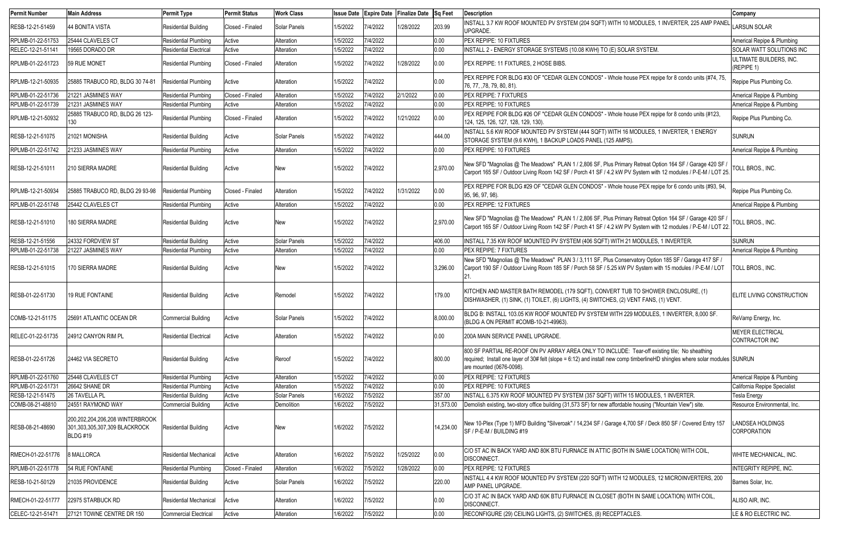| <b>Permit Number</b> | <b>Main Address</b>                                                          | <b>Permit Type</b>            | <b>Permit Status</b> | <b>Work Class</b> | <b>Issue Date</b> |          | <b>Expire Date Finalize Date</b> | <b>Sq Feet</b> | <b>Description</b>                                                                                                                                                                                                                                        | Company                                   |
|----------------------|------------------------------------------------------------------------------|-------------------------------|----------------------|-------------------|-------------------|----------|----------------------------------|----------------|-----------------------------------------------------------------------------------------------------------------------------------------------------------------------------------------------------------------------------------------------------------|-------------------------------------------|
| RESB-12-21-51459     | 44 BONITA VISTA                                                              | <b>Residential Building</b>   | Closed - Finaled     | Solar Panels      | 1/5/2022          | 7/4/2022 | 1/28/2022                        | 203.99         | INSTALL 3.7 KW ROOF MOUNTED PV SYSTEM (204 SQFT) WITH 10 MODULES, 1 INVERTER, 225 AMP PANEI<br>UPGRADE.                                                                                                                                                   | <b>LARSUN SOLAR</b>                       |
| RPLMB-01-22-51753    | 25444 CLAVELES CT                                                            | <b>Residential Plumbing</b>   | Active               | Alteration        | 1/5/2022          | 7/4/2022 |                                  | 0.00           | PEX REPIPE: 10 FIXTURES                                                                                                                                                                                                                                   | Americal Repipe & Plumbing                |
| RELEC-12-21-51141    | 19565 DORADO DR                                                              | <b>Residential Electrical</b> | Active               | Alteration        | 1/5/2022          | 7/4/2022 |                                  | 0.00           | INSTALL 2 - ENERGY STORAGE SYSTEMS (10.08 KWH) TO (E) SOLAR SYSTEM.                                                                                                                                                                                       | <b>SOLAR WATT SOLUTIONS INC</b>           |
| RPLMB-01-22-51723    | 59 RUE MONET                                                                 | Residential Plumbing          | Closed - Finaled     | Alteration        | 1/5/2022          | 7/4/2022 | 1/28/2022                        | 0.00           | <b>PEX REPIPE: 11 FIXTURES, 2 HOSE BIBS.</b>                                                                                                                                                                                                              | ULTIMATE BUILDERS, INC.<br>(REPIPE 1)     |
| RPLMB-12-21-50935    | 25885 TRABUCO RD, BLDG 30 74-81                                              | <b>Residential Plumbing</b>   | Active               | Alteration        | 1/5/2022          | 7/4/2022 |                                  | 0.00           | PEX REPIPE FOR BLDG #30 OF "CEDAR GLEN CONDOS" - Whole house PEX repipe for 8 condo units (#74, 75,<br>76, 77, ,78, 79, 80, 81).                                                                                                                          | Repipe Plus Plumbing Co.                  |
| RPLMB-01-22-51736    | 21221 JASMINES WAY                                                           | <b>Residential Plumbing</b>   | Closed - Finaled     | Alteration        | 1/5/2022          | 7/4/2022 | 2/1/2022                         | 0.00           | <b>PEX REPIPE: 7 FIXTURES</b>                                                                                                                                                                                                                             | Americal Repipe & Plumbing                |
| RPLMB-01-22-51739    | 21231 JASMINES WAY                                                           | <b>Residential Plumbing</b>   | Active               | Alteration        | 1/5/2022          | 7/4/2022 |                                  | 0.00           | <b>PEX REPIPE: 10 FIXTURES</b>                                                                                                                                                                                                                            | Americal Repipe & Plumbing                |
| RPLMB-12-21-50932    | 25885 TRABUCO RD, BLDG 26 123-<br>130                                        | <b>Residential Plumbing</b>   | Closed - Finaled     | Alteration        | 1/5/2022          | 7/4/2022 | 1/21/2022                        | 0.00           | PEX REPIPE FOR BLDG #26 OF "CEDAR GLEN CONDOS" - Whole house PEX repipe for 8 condo units (#123,<br>124, 125, 126, 127, 128, 129, 130).                                                                                                                   | Repipe Plus Plumbing Co.                  |
| RESB-12-21-51075     | 21021 MONISHA                                                                | Residential Building          | Active               | Solar Panels      | 1/5/2022          | 7/4/2022 |                                  | 444.00         | INSTALL 5.6 KW ROOF MOUNTED PV SYSTEM (444 SQFT) WITH 16 MODULES, 1 INVERTER, 1 ENERGY<br>STORAGE SYSTEM (9.6 KWH), 1 BACKUP LOADS PANEL (125 AMPS).                                                                                                      | <b>SUNRUN</b>                             |
| RPLMB-01-22-51742    | 21233 JASMINES WAY                                                           | <b>Residential Plumbing</b>   | Active               | Alteration        | 1/5/2022          | 7/4/2022 |                                  | 0.00           | PEX REPIPE: 10 FIXTURES                                                                                                                                                                                                                                   | Americal Repipe & Plumbing                |
| RESB-12-21-51011     | 210 SIERRA MADRE                                                             | <b>Residential Building</b>   | Active               | New               | 1/5/2022          | 7/4/2022 |                                  | 2,970.00       | New SFD "Magnolias @ The Meadows" PLAN 1 / 2,806 SF, Plus Primary Retreat Option 164 SF / Garage 420 SF /<br>Carport 165 SF / Outdoor Living Room 142 SF / Porch 41 SF / 4.2 kW PV System with 12 modules / P-E-M / LOT 25.                               | TOLL BROS., INC.                          |
| RPLMB-12-21-50934    | 25885 TRABUCO RD, BLDG 29 93-98                                              | <b>Residential Plumbing</b>   | Closed - Finaled     | Alteration        | 1/5/2022          | 7/4/2022 | 1/31/2022                        | 0.00           | PEX REPIPE FOR BLDG #29 OF "CEDAR GLEN CONDOS" - Whole house PEX repipe for 6 condo units (#93, 94,<br>95, 96, 97, 98).                                                                                                                                   | Repipe Plus Plumbing Co.                  |
| RPLMB-01-22-51748    | 25442 CLAVELES CT                                                            | Residential Plumbing          | Active               | Alteration        | 1/5/2022          | 7/4/2022 |                                  | 0.00           | PEX REPIPE: 12 FIXTURES                                                                                                                                                                                                                                   | Americal Repipe & Plumbing                |
| RESB-12-21-51010     | 180 SIERRA MADRE                                                             | <b>Residential Building</b>   | Active               | New               | 1/5/2022          | 7/4/2022 |                                  | 2,970.00       | New SFD "Magnolias @ The Meadows" PLAN 1 / 2,806 SF, Plus Primary Retreat Option 164 SF / Garage 420 SF<br>Carport 165 SF / Outdoor Living Room 142 SF / Porch 41 SF / 4.2 kW PV System with 12 modules / P-E-M / LOT 22                                  | TOLL BROS., INC.                          |
| RESB-12-21-51556     | 24332 FORDVIEW ST                                                            | <b>Residential Building</b>   | Active               | Solar Panels      | 1/5/2022          | 7/4/2022 |                                  | 406.00         | INSTALL 7.35 KW ROOF MOUNTED PV SYSTEM (406 SQFT) WITH 21 MODULES, 1 INVERTER.                                                                                                                                                                            | <b>SUNRUN</b>                             |
| RPLMB-01-22-51738    | 21227 JASMINES WAY                                                           | <b>Residential Plumbing</b>   | Active               | Alteration        | 1/5/2022          | 7/4/2022 |                                  | 0.00           | <b>PEX REPIPE: 7 FIXTURES</b>                                                                                                                                                                                                                             | Americal Repipe & Plumbing                |
| RESB-12-21-51015     | 170 SIERRA MADRE                                                             | <b>Residential Building</b>   | Active               | New               | 1/5/2022          | 7/4/2022 |                                  | 3,296.00       | New SFD "Magnolias @ The Meadows" PLAN 3/3,111 SF, Plus Conservatory Option 185 SF / Garage 417 SF /<br>Carport 190 SF / Outdoor Living Room 185 SF / Porch 58 SF / 5.25 kW PV System with 15 modules / P-E-M / LOT<br>$ 21$ .                            | TOLL BROS., INC.                          |
| RESB-01-22-51730     | 19 RUE FONTAINE                                                              | Residential Building          | Active               | Remodel           | 1/5/2022          | 7/4/2022 |                                  | 179.00         | KITCHEN AND MASTER BATH REMODEL (179 SQFT), CONVERT TUB TO SHOWER ENCLOSURE, (1)<br>DISHWASHER, (1) SINK, (1) TOILET, (6) LIGHTS, (4) SWITCHES, (2) VENT FANS, (1) VENT.                                                                                  | <b>ELITE LIVING CONSTRUCTION</b>          |
| COMB-12-21-51175     | 125691 ATLANTIC OCEAN DR                                                     | <b>Commercial Building</b>    | Active               | Solar Panels      | 1/5/2022          | 7/4/2022 |                                  | 8,000.00       | BLDG B: INSTALL 103.05 KW ROOF MOUNTED PV SYSTEM WITH 229 MODULES, 1 INVERTER, 8,000 SF.<br>(BLDG A ON PERMIT #COMB-10-21-49963)                                                                                                                          | ReVamp Energy, Inc.                       |
| RELEC-01-22-51735    | 24912 CANYON RIM PL                                                          | <b>Residential Electrical</b> | Active               | Alteration        | 1/5/2022          | 7/4/2022 |                                  | 0.00           | 200A MAIN SERVICE PANEL UPGRADE.                                                                                                                                                                                                                          | <b>MEYER ELECTRICAL</b><br>CONTRACTOR INC |
| RESB-01-22-51726     | 24462 VIA SECRETO                                                            | <b>Residential Building</b>   | Active               | Reroof            | 1/5/2022          | 7/4/2022 |                                  | 800.00         | 800 SF PARTIAL RE-ROOF ON PV ARRAY AREA ONLY TO INCLUDE: Tear-off existing tile; No sheathing<br>required; Install one layer of 30# felt (slope = 6:12) and install new comp timberlineHD shingles where solar modules SUNRUN<br>are mounted (0676-0098). |                                           |
| RPLMB-01-22-51760    | 25448 CLAVELES CT                                                            | <b>Residential Plumbing</b>   | Active               | Alteration        | 1/5/2022          | 7/4/2022 |                                  | 0.00           | PEX REPIPE: 12 FIXTURES                                                                                                                                                                                                                                   | Americal Repipe & Plumbing                |
| RPLMB-01-22-51731    | 26642 SHANE DR                                                               | <b>Residential Plumbing</b>   | Active               | Alteration        | 1/5/2022          | 7/4/2022 |                                  | 0.00           | <b>PEX REPIPE: 10 FIXTURES</b>                                                                                                                                                                                                                            | California Repipe Specialist              |
| RESB-12-21-51475     | 26 TAVELLA PL                                                                | <b>Residential Building</b>   | Active               | Solar Panels      | 1/6/2022          | 7/5/2022 |                                  | 357.00         | INSTALL 6.375 KW ROOF MOUNTED PV SYSTEM (357 SQFT) WITH 15 MODULES, 1 INVERTER.                                                                                                                                                                           | <b>Tesla Energy</b>                       |
| COMB-08-21-48810     | 24551 RAYMOND WAY                                                            | <b>Commercial Building</b>    | Active               | Demolition        | 1/6/2022          | 7/5/2022 |                                  | 31,573.00      | Demolish existing, two-story office building (31,573 SF) for new affordable housing ("Mountain View") site.                                                                                                                                               | Resource Environmental, Inc.              |
| RESB-08-21-48690     | 200,202,204,206,208 WINTERBROOK<br>301,303,305,307,309 BLACKROCK<br>BLDG #19 | <b>Residential Building</b>   | Active               | New               | 1/6/2022          | 7/5/2022 |                                  | 14,234.00      | New 10-Plex (Type 1) MFD Building "Silveroak" / 14,234 SF / Garage 4,700 SF / Deck 850 SF / Covered Entry 157<br>SF / P-E-M / BUILDING #19                                                                                                                | LANDSEA HOLDINGS<br><b>CORPORATION</b>    |
| RMECH-01-22-51776    | 8 MALLORCA                                                                   | <b>Residential Mechanical</b> | Active               | Alteration        | 1/6/2022          | 7/5/2022 | 1/25/2022                        | 0.00           | C/O 5T AC IN BACK YARD AND 80K BTU FURNACE IN ATTIC (BOTH IN SAME LOCATION) WITH COIL,<br><b>DISCONNECT.</b>                                                                                                                                              | WHITE MECHANICAL, INC.                    |
| RPLMB-01-22-51778    | 54 RUE FONTAINE                                                              | <b>Residential Plumbing</b>   | Closed - Finaled     | Alteration        | 1/6/2022          | 7/5/2022 | 1/28/2022                        | 0.00           | <b>PEX REPIPE: 12 FIXTURES</b>                                                                                                                                                                                                                            | <b>INTEGRITY REPIPE, INC.</b>             |
| RESB-10-21-50129     | 21035 PROVIDENCE                                                             | <b>Residential Building</b>   | Active               | Solar Panels      | 1/6/2022          | 7/5/2022 |                                  | 220.00         | INSTALL 4.4 KW ROOF MOUNTED PV SYSTEM (220 SQFT) WITH 12 MODULES, 12 MICROINVERTERS, 200<br>AMP PANEL UPGRADE.                                                                                                                                            | Barnes Solar, Inc.                        |
| RMECH-01-22-51777    | 22975 STARBUCK RD                                                            | <b>Residential Mechanical</b> | Active               | Alteration        | 1/6/2022          | 7/5/2022 |                                  | 0.00           | C/O 3T AC IN BACK YARD AND 60K BTU FURNACE IN CLOSET (BOTH IN SAME LOCATION) WITH COIL,<br><b>DISCONNECT.</b>                                                                                                                                             | ALISO AIR, INC.                           |
| CELEC-12-21-51471    | 27121 TOWNE CENTRE DR 150                                                    | <b>Commercial Electrical</b>  | Active               | Alteration        | 1/6/2022          | 7/5/2022 |                                  | 0.00           | RECONFIGURE (29) CEILING LIGHTS, (2) SWITCHES, (8) RECEPTACLES.                                                                                                                                                                                           | LE & RO ELECTRIC INC.                     |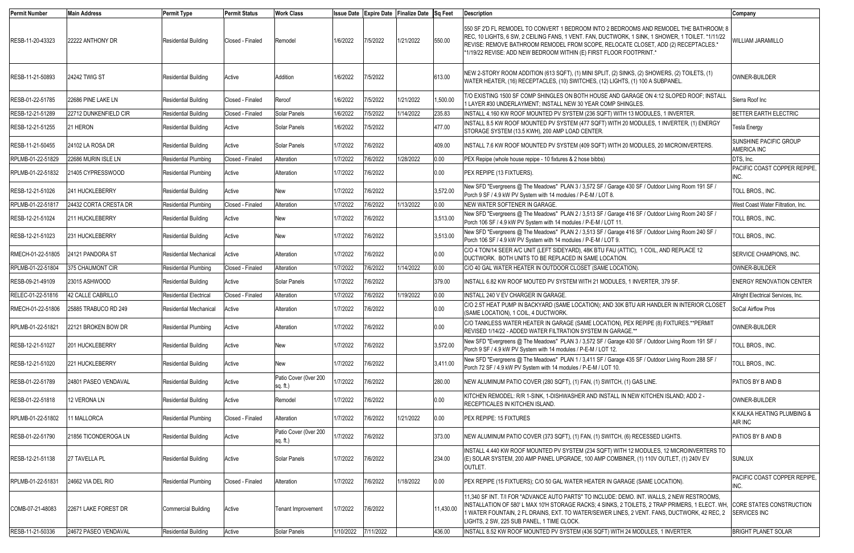| <b>Permit Number</b> | <b>Main Address</b>     | <b>Permit Type</b>            | <b>Permit Status</b> | <b>Work Class</b>                   | <b>Issue Date</b> |           | Expire Date Finalize Date Sq Feet |           | <b>Description</b>                                                                                                                                                                                                                                                                                                                                        | Company                                                |
|----------------------|-------------------------|-------------------------------|----------------------|-------------------------------------|-------------------|-----------|-----------------------------------|-----------|-----------------------------------------------------------------------------------------------------------------------------------------------------------------------------------------------------------------------------------------------------------------------------------------------------------------------------------------------------------|--------------------------------------------------------|
| RESB-11-20-43323     | 22222 ANTHONY DR        | <b>Residential Building</b>   | Closed - Finaled     | Remodel                             | 1/6/2022          | 7/5/2022  | 1/21/2022                         | 550.00    | 1550 SF 2'D FL REMODEL TO CONVERT 1 BEDROOM INTO 2 BEDROOMS AND REMODEL THE BATHROOM: 8<br>REC, 10 LIGHTS, 6 SW, 2 CEILING FANS, 1 VENT. FAN, DUCTWORK, 1 SINK, 1 SHOWER, 1 TOILET. *1/11/22<br>REVISE: REMOVE BATHROOM REMODEL FROM SCOPE, RELOCATE CLOSET, ADD (2) RECEPTACLES.*<br>*1/19/22 REVISE: ADD NEW BEDROOM WITHIN (E) FIRST FLOOR FOOTPRINT.* | WILLIAM JARAMILLO                                      |
| RESB-11-21-50893     | 24242 TWIG ST           | <b>Residential Building</b>   | Active               | Addition                            | 1/6/2022          | 7/5/2022  |                                   | 613.00    | NEW 2-STORY ROOM ADDITION (613 SQFT), (1) MINI SPLIT, (2) SINKS, (2) SHOWERS, (2) TOILETS, (1)<br>WATER HEATER, (16) RECEPTACLES, (10) SWITCHES, (12) LIGHTS, (1) 100 A SUBPANEL                                                                                                                                                                          | OWNER-BUILDER                                          |
| RESB-01-22-51785     | 22686 PINE LAKE LN      | <b>Residential Building</b>   | Closed - Finaled     | Reroof                              | 1/6/2022          | 7/5/2022  | 1/21/2022                         | 1,500.00  | T/O EXISTING 1500 SF COMP SHINGLES ON BOTH HOUSE AND GARAGE ON 4:12 SLOPED ROOF; INSTALL<br>1 LAYER #30 UNDERLAYMENT; INSTALL NEW 30 YEAR COMP SHINGLES.                                                                                                                                                                                                  | Sierra Roof Inc                                        |
| RESB-12-21-51289     | 22712 DUNKENFIELD CIR   | <b>Residential Building</b>   | Closed - Finaled     | Solar Panels                        | 1/6/2022          | 7/5/2022  | 1/14/2022                         | 235.83    | INSTALL 4.160 KW ROOF MOUNTED PV SYSTEM (236 SQFT) WITH 13 MODULES, 1 INVERTER.                                                                                                                                                                                                                                                                           | <b>BETTER EARTH ELECTRIC</b>                           |
| RESB-12-21-51255     | 21 HERON                | <b>Residential Building</b>   | Active               | Solar Panels                        | 1/6/2022          | 7/5/2022  |                                   | 477.00    | INSTALL 8.5 KW ROOF MOUNTED PV SYSTEM (477 SQFT) WITH 20 MODULES, 1 INVERTER, (1) ENERGY<br>STORAGE SYSTEM (13.5 KWH), 200 AMP LOAD CENTER.                                                                                                                                                                                                               | <b>Tesla Energy</b>                                    |
| RESB-11-21-50455     | 24102 LA ROSA DR        | <b>Residential Building</b>   | Active               | Solar Panels                        | 1/7/2022          | 7/6/2022  |                                   | 409.00    | INSTALL 7.6 KW ROOF MOUNTED PV SYSTEM (409 SQFT) WITH 20 MODULES, 20 MICROINVERTERS.                                                                                                                                                                                                                                                                      | <b>SUNSHINE PACIFIC GROUP</b><br>AMERICA INC           |
| RPLMB-01-22-51829    | 22686 MURIN ISLE LN     | <b>Residential Plumbing</b>   | Closed - Finaled     | Alteration                          | 1/7/2022          | 7/6/2022  | 1/28/2022                         | 0.00      | PEX Repipe (whole house repipe - 10 fixtures & 2 hose bibbs)                                                                                                                                                                                                                                                                                              | DTS. Inc.                                              |
| RPLMB-01-22-51832    | 21405 CYPRESSWOOD       | <b>Residential Plumbing</b>   | Active               | Alteration                          | 1/7/2022          | 7/6/2022  |                                   | 0.00      | PEX REPIPE (13 FIXTUERS).                                                                                                                                                                                                                                                                                                                                 | PACIFIC COAST COPPER REPIPE,<br>INC.                   |
| RESB-12-21-51026     | 241 HUCKLEBERRY         | <b>Residential Building</b>   | Active               | New                                 | 1/7/2022          | 7/6/2022  |                                   | 3,572.00  | New SFD "Evergreens @ The Meadows" PLAN 3 / 3,572 SF / Garage 430 SF / Outdoor Living Room 191 SF /<br>Porch 9 SF / 4.9 kW PV System with 14 modules / P-E-M / LOT 8.                                                                                                                                                                                     | TOLL BROS., INC.                                       |
| RPLMB-01-22-51817    | 24432 CORTA CRESTA DR   | <b>Residential Plumbing</b>   | Closed - Finaled     | Alteration                          | 1/7/2022          | 7/6/2022  | 1/13/2022                         | 0.00      | NEW WATER SOFTENER IN GARAGE.                                                                                                                                                                                                                                                                                                                             | West Coast Water Filtration, Inc.                      |
| RESB-12-21-51024     | 211 HUCKLEBERRY         | <b>Residential Building</b>   | Active               | New                                 | 1/7/2022          | 7/6/2022  |                                   | 3,513.00  | New SFD "Evergreens @ The Meadows" PLAN 2 / 3,513 SF / Garage 416 SF / Outdoor Living Room 240 SF /<br>Porch 106 SF / 4.9 kW PV System with 14 modules / P-E-M / LOT 11.                                                                                                                                                                                  | TOLL BROS., INC.                                       |
| RESB-12-21-51023     | 231 HUCKLEBERRY         | <b>Residential Building</b>   | Active               | New                                 | 1/7/2022          | 7/6/2022  |                                   | 3,513.00  | New SFD "Evergreens @ The Meadows" PLAN 2 / 3,513 SF / Garage 416 SF / Outdoor Living Room 240 SF /<br>Porch 106 SF / 4.9 kW PV System with 14 modules / P-E-M / LOT 9.                                                                                                                                                                                   | TOLL BROS., INC.                                       |
| RMECH-01-22-51805    | 24121 PANDORA ST        | <b>Residential Mechanical</b> | Active               | Alteration                          | 1/7/2022          | 7/6/2022  |                                   | 0.00      | C/O 4 TON/14 SEER A/C UNIT (LEFT SIDEYARD), 48K BTU FAU (ATTIC), 1 COIL, AND REPLACE 12<br>DUCTWORK. BOTH UNITS TO BE REPLACED IN SAME LOCATION.                                                                                                                                                                                                          | SERVICE CHAMPIONS, INC.                                |
| RPLMB-01-22-51804    | <b>375 CHAUMONT CIR</b> | <b>Residential Plumbing</b>   | Closed - Finaled     | Alteration                          | 1/7/2022          | 7/6/2022  | 1/14/2022                         | 0.00      | C/O 40 GAL WATER HEATER IN OUTDOOR CLOSET (SAME LOCATION).                                                                                                                                                                                                                                                                                                | OWNER-BUILDER                                          |
| RESB-09-21-49109     | 23015 ASHWOOD           | <b>Residential Building</b>   | Active               | Solar Panels                        | 1/7/2022          | 7/6/2022  |                                   | 379.00    | INSTALL 6.82 KW ROOF MOUTED PV SYSTEM WITH 21 MODULES, 1 INVERTER, 379 SF.                                                                                                                                                                                                                                                                                | <b>ENERGY RENOVATION CENTER</b>                        |
| RELEC-01-22-51816    | 42 CALLE CABRILLO       | <b>Residential Electrical</b> | Closed - Finaled     | Alteration                          | 1/7/2022          | 7/6/2022  | 1/19/2022                         | 0.00      | INSTALL 240 V EV CHARGER IN GARAGE.                                                                                                                                                                                                                                                                                                                       | Allright Electrical Services, Inc.                     |
| RMECH-01-22-51806    | 25885 TRABUCO RD 249    | <b>Residential Mechanical</b> | Active               | Alteration                          | 1/7/2022          | 7/6/2022  |                                   | 0.00      | C/O 2.5T HEAT PUMP IN BACKYARD (SAME LOCATION); AND 30K BTU AIR HANDLER IN INTERIOR CLOSET<br>(SAME LOCATION), 1 COIL, 4 DUCTWORK.                                                                                                                                                                                                                        | SoCal Airflow Pros                                     |
| RPLMB-01-22-51821    | 22121 BROKEN BOW DR     | <b>Residential Plumbing</b>   | Active               | Alteration                          | 1/7/2022          | 7/6/2022  |                                   | 0.00      | C/O TANKLESS WATER HEATER IN GARAGE (SAME LOCATION), PEX REPIPE (8) FIXTURES.**PERMIT<br>REVISED 1/14/22 - ADDED WATER FILTRATION SYSTEM IN GARAGE.**                                                                                                                                                                                                     | OWNER-BUILDER                                          |
| RESB-12-21-51027     | <b>201 HUCKLEBERRY</b>  | <b>Residential Building</b>   | Active               | New                                 | 1/7/2022          | 7/6/2022  |                                   | 3,572.00  | New SFD "Evergreens @ The Meadows" PLAN 3 / 3,572 SF / Garage 430 SF / Outdoor Living Room 191 SF /<br>Porch 9 SF / 4.9 kW PV System with 14 modules / P-E-M / LOT 12.                                                                                                                                                                                    | TOLL BROS., INC.                                       |
| RESB-12-21-51020     | 221 HUCKLEBERRY         | <b>Residential Building</b>   | Active               | New                                 | 1/7/2022          | 7/6/2022  |                                   | 3,411.00  | New SFD "Evergreens @ The Meadows" PLAN 1 / 3,411 SF / Garage 435 SF / Outdoor Living Room 288 SF /<br>Porch 72 SF / 4.9 kW PV System with 14 modules / P-E-M / LOT 10.                                                                                                                                                                                   | TOLL BROS., INC.                                       |
| RESB-01-22-51789     | 24801 PASEO VENDAVAL    | <b>Residential Building</b>   | Active               | Patio Cover (Over 200<br>$sq.$ ft.) | 1/7/2022          | 7/6/2022  |                                   | 280.00    | NEW ALUMINUM PATIO COVER (280 SQFT), (1) FAN, (1) SWITCH, (1) GAS LINE.                                                                                                                                                                                                                                                                                   | PATIOS BY B AND B                                      |
| RESB-01-22-51818     | 12 VERONA LN            | <b>Residential Building</b>   | Active               | Remodel                             | 1/7/2022          | 7/6/2022  |                                   | 0.00      | KITCHEN REMODEL: R/R 1-SINK, 1-DISHWASHER AND INSTALL IN NEW KITCHEN ISLAND; ADD 2 -<br>RECEPTICALES IN KITCHEN ISLAND.                                                                                                                                                                                                                                   | OWNER-BUILDER                                          |
| RPLMB-01-22-51802    | 11 MALLORCA             | <b>Residential Plumbing</b>   | Closed - Finaled     | Alteration                          | 1/7/2022          | 7/6/2022  | 1/21/2022                         | 0.00      | PEX REPIPE: 15 FIXTURES                                                                                                                                                                                                                                                                                                                                   | K KALKA HEATING PLUMBING &<br>AIR INC                  |
| RESB-01-22-51790     | 21856 TICONDEROGA LN    | <b>Residential Building</b>   | Active               | Patio Cover (Over 200<br>$sq.$ ft.) | 1/7/2022          | 7/6/2022  |                                   | 373.00    | NEW ALUMINUM PATIO COVER (373 SQFT), (1) FAN, (1) SWITCH, (6) RECESSED LIGHTS.                                                                                                                                                                                                                                                                            | PATIOS BY B AND B                                      |
| RESB-12-21-51138     | 27 TAVELLA PL           | <b>Residential Building</b>   | Active               | Solar Panels                        | 1/7/2022          | 7/6/2022  |                                   | 234.00    | INSTALL 4.440 KW ROOF MOUNTED PV SYSTEM (234 SQFT) WITH 12 MODULES, 12 MICROINVERTERS TO<br>(E) SOLAR SYSTEM, 200 AMP PANEL UPGRADE, 100 AMP COMBINER, (1) 110V OUTLET, (1) 240V EV<br>OUTLET.                                                                                                                                                            | <b>SUNLUX</b>                                          |
| RPLMB-01-22-51831    | 24662 VIA DEL RIO       | Residential Plumbing          | Closed - Finaled     | Alteration                          | 1/7/2022          | 7/6/2022  | 1/18/2022                         | 0.00      | PEX REPIPE (15 FIXTUERS); C/O 50 GAL WATER HEATER IN GARAGE (SAME LOCATION).                                                                                                                                                                                                                                                                              | PACIFIC COAST COPPER REPIPE,<br>INC.                   |
| COMB-07-21-48083     | 22671 LAKE FOREST DR    | <b>Commercial Building</b>    | Active               | <b>Tenant Improvement</b>           | 1/7/2022          | 7/6/2022  |                                   | 11,430.00 | 11,340 SF INT. T/I FOR "ADVANCE AUTO PARTS" TO INCLUDE: DEMO. INT. WALLS, 2 NEW RESTROOMS,<br>INSTALLATION OF 580'L MAX 10'H STORAGE RACKS; 4 SINKS, 2 TOILETS, 2 TRAP PRIMERS, 1 ELECT. WH,<br>1 WATER FOUNTAIN, 2 FL DRAINS, EXT. TO WATER/SEWER LINES, 2 VENT. FANS, DUCTWORK, 42 REC, 2<br>LIGHTS, 2 SW, 225 SUB PANEL, 1 TIME CLOCK.                 | <b>CORE STATES CONSTRUCTION</b><br><b>SERVICES INC</b> |
| RESB-11-21-50336     | 24672 PASEO VENDAVAL    | <b>Residential Building</b>   | Active               | Solar Panels                        | 1/10/2022         | 7/11/2022 |                                   | 436.00    | INSTALL 8.52 KW ROOF MOUNTED PV SYSTEM (436 SQFT) WITH 24 MODULES, 1 INVERTER.                                                                                                                                                                                                                                                                            | <b>BRIGHT PLANET SOLAR</b>                             |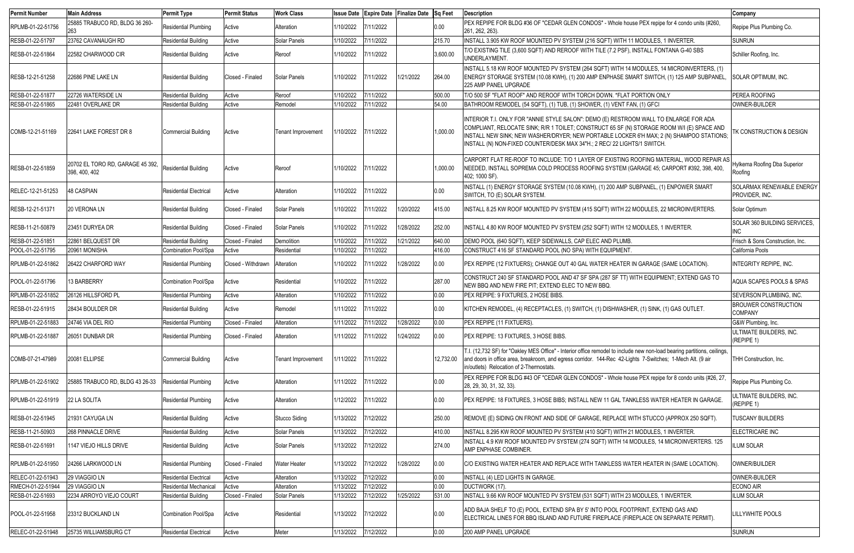| <b>Permit Number</b> | <b>Main Address</b>                               | <b>Permit Type</b>            | <b>Permit Status</b> | <b>Work Class</b>         | <b>Issue Date</b>   |            | Expire Date Finalize Date Sq Feet |           | <b>Description</b>                                                                                                                                                                                                                                                                                                                                          | Company                                       |
|----------------------|---------------------------------------------------|-------------------------------|----------------------|---------------------------|---------------------|------------|-----------------------------------|-----------|-------------------------------------------------------------------------------------------------------------------------------------------------------------------------------------------------------------------------------------------------------------------------------------------------------------------------------------------------------------|-----------------------------------------------|
| RPLMB-01-22-51756    | 25885 TRABUCO RD, BLDG 36 260-                    | <b>Residential Plumbing</b>   | Active               | Alteration                | 1/10/2022           | 7/11/2022  |                                   | 0.00      | PEX REPIPE FOR BLDG #36 OF "CEDAR GLEN CONDOS" - Whole house PEX repipe for 4 condo units (#260,<br>261, 262, 263)                                                                                                                                                                                                                                          | Repipe Plus Plumbing Co.                      |
| RESB-01-22-51797     | 23762 CAVANAUGH RD                                | <b>Residential Building</b>   | Active               | Solar Panels              | 1/10/2022           | 7/11/2022  |                                   | 215.70    | INSTALL 3.905 KW ROOF MOUNTED PV SYSTEM (216 SQFT) WITH 11 MODULES, 1 INVERTER.                                                                                                                                                                                                                                                                             | <b>SUNRUN</b>                                 |
| RESB-01-22-51864     | 22582 CHARWOOD CIR                                | <b>Residential Building</b>   | Active               | Reroof                    | 1/10/2022           | 7/11/2022  |                                   | 3,600.00  | T/O EXISTING TILE (3,600 SQFT) AND REROOF WITH TILE (7.2 PSF), INSTALL FONTANA G-40 SBS<br>UNDERLAYMENT.                                                                                                                                                                                                                                                    | Schiller Roofing, Inc.                        |
| RESB-12-21-51258     | 22686 PINE LAKE LN                                | <b>Residential Building</b>   | Closed - Finaled     | Solar Panels              | 1/10/2022           | 7/11/2022  | 1/21/2022                         | 264.00    | INSTALL 5.18 KW ROOF MOUNTED PV SYSTEM (264 SQFT) WITH 14 MODULES, 14 MICROINVERTERS, (1)<br>ENERGY STORAGE SYSTEM (10.08 KWH), (1) 200 AMP ENPHASE SMART SWITCH, (1) 125 AMP SUBPANEL,<br>225 AMP PANEL UPGRADE                                                                                                                                            | SOLAR OPTIMUM, INC.                           |
| RESB-01-22-51877     | 22726 WATERSIDE LN                                | <b>Residential Building</b>   | Active               | Reroof                    | 1/10/2022           | 7/11/2022  |                                   | 500.00    | T/O 500 SF "FLAT ROOF" AND REROOF WITH TORCH DOWN. *FLAT PORTION ONLY                                                                                                                                                                                                                                                                                       | <b>PEREA ROOFING</b>                          |
| RESB-01-22-51865     | 22481 OVERLAKE DR                                 | Residential Building          | Active               | Remodel                   | 1/10/2022           | 7/11/2022  |                                   | 54.00     | BATHROOM REMODEL (54 SQFT), (1) TUB, (1) SHOWER, (1) VENT FAN, (1) GFCI                                                                                                                                                                                                                                                                                     | OWNER-BUILDER                                 |
| COMB-12-21-51169     | 22641 LAKE FOREST DR 8                            | Commercial Building           | Active               | Tenant Improvement        | 1/10/2022           | 7/11/2022  |                                   | 1,000.00  | INTERIOR T.I. ONLY FOR "ANNIE STYLE SALON": DEMO (E) RESTROOM WALL TO ENLARGE FOR ADA<br>COMPLIANT, RELOCATE SINK; R/R 1 TOILET; CONSTRUCT 65 SF (N) STORAGE ROOM W/I (E) SPACE AND<br>INSTALL NEW SINK; NEW WASHER/DRYER; NEW PORTABLE LOCKER 6'H MAX; 2 (N) SHAMPOO STATIONS;<br>INSTALL (N) NON-FIXED COUNTER/DESK MAX 34"H.; 2 REC/ 22 LIGHTS/1 SWITCH. | TK CONSTRUCTION & DESIGN                      |
| RESB-01-22-51859     | 20702 EL TORO RD, GARAGE 45 392,<br>398, 400, 402 | <b>Residential Building</b>   | Active               | Reroof                    | 1/10/2022           | 7/11/2022  |                                   | 1,000.00  | CARPORT FLAT RE-ROOF TO INCLUDE: T/O 1 LAYER OF EXISTING ROOFING MATERIAL, WOOD REPAIR AS<br>NEEDED, INSTALL SOPREMA COLD PROCESS ROOFING SYSTEM (GARAGE 45; CARPORT #392, 398, 400,<br>402; 1000 SF).                                                                                                                                                      | Hylkema Roofing Dba Superior<br>Roofing       |
| RELEC-12-21-51253    | 48 CASPIAN                                        | <b>Residential Electrical</b> | Active               | Alteration                | 1/10/2022           | 7/11/2022  |                                   | 0.00      | INSTALL (1) ENERGY STORAGE SYSTEM (10.08 KWH), (1) 200 AMP SUBPANEL, (1) ENPOWER SMART<br>SWITCH, TO (E) SOLAR SYSTEM.                                                                                                                                                                                                                                      | SOLARMAX RENEWABLE ENERGY<br>PROVIDER, INC.   |
| RESB-12-21-51371     | 20 VERONA LN                                      | <b>Residential Building</b>   | Closed - Finaled     | Solar Panels              | 1/10/2022           | 7/11/2022  | 1/20/2022                         | 415.00    | INSTALL 8.25 KW ROOF MOUNTED PV SYSTEM (415 SQFT) WITH 22 MODULES, 22 MICROINVERTERS.                                                                                                                                                                                                                                                                       | Solar Optimum                                 |
| RESB-11-21-50879     | 23451 DURYEA DR                                   | <b>Residential Building</b>   | Closed - Finaled     | Solar Panels              | 1/10/2022           | 7/11/2022  | 1/28/2022                         | 252.00    | INSTALL 4.80 KW ROOF MOUNTED PV SYSTEM (252 SQFT) WITH 12 MODULES, 1 INVERTER.                                                                                                                                                                                                                                                                              | SOLAR 360 BUILDING SERVICES,<br>INC.          |
| RESB-01-22-51851     | 22861 BELQUEST DR                                 | <b>Residential Building</b>   | Closed - Finaled     | Demolition                | 1/10/2022           | 7/11/2022  | 1/21/2022                         | 640.00    | DEMO POOL (640 SQFT), KEEP SIDEWALLS, CAP ELEC AND PLUMB.                                                                                                                                                                                                                                                                                                   | Frisch & Sons Construction, Inc.              |
| POOL-01-22-51795     | 20961 MONISHA                                     | <b>Combination Pool/Spa</b>   | Active               | Residential               | 1/10/2022           | 7/11/2022  |                                   | 416.00    | CONSTRUCT 416 SF STANDARD POOL (NO SPA) WITH EQUIPMENT                                                                                                                                                                                                                                                                                                      | California Pools                              |
| RPLMB-01-22-51862    | 26422 CHARFORD WAY                                | <b>Residential Plumbing</b>   | Closed - Withdrawn   | Alteration                | 1/10/2022           | 7/11/2022  | 1/28/2022                         | 0.00      | PEX REPIPE (12 FIXTUERS); CHANGE OUT 40 GAL WATER HEATER IN GARAGE (SAME LOCATION).                                                                                                                                                                                                                                                                         | INTEGRITY REPIPE, INC.                        |
| POOL-01-22-51796     | 13 BARBERRY                                       | Combination Pool/Spa          | Active               | Residential               | 1/10/2022           | 7/11/2022  |                                   | 287.00    | CONSTRUCT 240 SF STANDARD POOL AND 47 SF SPA (287 SF TT) WITH EQUIPMENT; EXTEND GAS TO<br>NEW BBQ AND NEW FIRE PIT; EXTEND ELEC TO NEW BBQ.                                                                                                                                                                                                                 | AQUA SCAPES POOLS & SPAS                      |
| RPLMB-01-22-51852    | 26126 HILLSFORD PL                                | <b>Residential Plumbing</b>   | Active               | Alteration                | 1/10/2022           | 7/11/2022  |                                   | 0.00      | PEX REPIPE: 9 FIXTURES, 2 HOSE BIBS.                                                                                                                                                                                                                                                                                                                        | SEVERSON PLUMBING, INC.                       |
| RESB-01-22-51915     | 28434 BOULDER DR                                  | <b>Residential Building</b>   | Active               | Remodel                   | 1/11/2022           | 7/11/2022  |                                   | 0.00      | KITCHEN REMODEL, (4) RECEPTACLES, (1) SWITCH, (1) DISHWASHER, (1) SINK, (1) GAS OUTLET.                                                                                                                                                                                                                                                                     | <b>BROUWER CONSTRUCTION</b><br><b>COMPANY</b> |
| RPLMB-01-22-51883    | 24746 VIA DEL RIO                                 | Residential Plumbing          | Closed - Finaled     | Alteration                | 1/11/2022           | 17/11/2022 | 1/28/2022                         | 0.00      | PEX REPIPE (11 FIXTUERS).                                                                                                                                                                                                                                                                                                                                   | G&W Plumbing, Inc.                            |
| RPLMB-01-22-51887    | 26051 DUNBAR DR                                   | <b>Residential Plumbing</b>   | Closed - Finaled     | Alteration                | 1/11/2022           | 7/11/2022  | 1/24/2022                         | 0.00      | PEX REPIPE: 13 FIXTURES, 3 HOSE BIBS.                                                                                                                                                                                                                                                                                                                       | ULTIMATE BUILDERS, INC.<br>(REPIPE 1)         |
| COMB-07-21-47989     | 20081 ELLIPSE                                     | <b>Commercial Building</b>    | Active               | <b>Tenant Improvement</b> | 1/11/2022           | 7/11/2022  |                                   | 12.732.00 | T.I. (12,732 SF) for "Oakley MES Office" - Interior office remodel to include new non-load bearing partitions, ceilings,<br>and doors in office area, breakroom, and egress corridor. 144-Rec 42-Lights 7-Switches; 1-Mech Alt. (9 air<br>in/outlets) Relocation of 2-Thermostats.                                                                          | THH Construction, Inc.                        |
| RPLMB-01-22-51902    | 25885 TRABUCO RD, BLDG 43 26-33                   | <b>Residential Plumbing</b>   | Active               | Alteration                | 1/11/2022           | 7/11/2022  |                                   | 0.00      | PEX REPIPE FOR BLDG #43 OF "CEDAR GLEN CONDOS" - Whole house PEX repipe for 8 condo units (#26, 27,<br>28, 29, 30, 31, 32, 33).                                                                                                                                                                                                                             | Repipe Plus Plumbing Co.                      |
| RPLMB-01-22-51919    | 22 LA SOLITA                                      | <b>Residential Plumbing</b>   | Active               | Alteration                | 1/12/2022           | 7/11/2022  |                                   | 0.00      | PEX REPIPE: 18 FIXTURES, 3 HOSE BIBS; INSTALL NEW 11 GAL TANKLESS WATER HEATER IN GARAGE.                                                                                                                                                                                                                                                                   | ULTIMATE BUILDERS, INC.<br>(REPIPE 1)         |
| RESB-01-22-51945     | 21931 CAYUGA LN                                   | <b>Residential Building</b>   | Active               | Stucco Siding             | 1/13/2022           | 7/12/2022  |                                   | 250.00    | REMOVE (E) SIDING ON FRONT AND SIDE OF GARAGE, REPLACE WITH STUCCO (APPROX 250 SQFT).                                                                                                                                                                                                                                                                       | TUSCANY BUILDERS                              |
| RESB-11-21-50903     | 268 PINNACLE DRIVE                                | <b>Residential Building</b>   | Active               | Solar Panels              | 1/13/2022           | 7/12/2022  |                                   | 410.00    | INSTALL 8.295 KW ROOF MOUNTED PV SYSTEM (410 SQFT) WITH 21 MODULES, 1 INVERTER.                                                                                                                                                                                                                                                                             | <b>ELECTRICARE INC</b>                        |
| RESB-01-22-51691     | 1147 VIEJO HILLS DRIVE                            | <b>Residential Building</b>   | Active               | Solar Panels              | 1/13/2022           | 7/12/2022  |                                   | 274.00    | INSTALL 4.9 KW ROOF MOUNTED PV SYSTEM (274 SQFT) WITH 14 MODULES, 14 MICROINVERTERS. 125<br>AMP ENPHASE COMBINER.                                                                                                                                                                                                                                           | ILUM SOLAR                                    |
| RPLMB-01-22-51950    | 24266 LARKWOOD LN                                 | <b>Residential Plumbing</b>   | Closed - Finaled     | <b>Water Heater</b>       | 1/13/2022           | 7/12/2022  | 1/28/2022                         | 0.00      | C/O EXISTING WATER HEATER AND REPLACE WITH TANKLESS WATER HEATER IN (SAME LOCATION).                                                                                                                                                                                                                                                                        | OWNER/BUILDER                                 |
| RELEC-01-22-51943    | 29 VIAGGIO LN                                     | <b>Residential Electrical</b> | Active               | Alteration                | 1/13/2022           | 7/12/2022  |                                   | 0.00      | INSTALL (4) LED LIGHTS IN GARAGE.                                                                                                                                                                                                                                                                                                                           | OWNER-BUILDER                                 |
| RMECH-01-22-51944    | 29 VIAGGIO LN                                     | Residential Mechanical        | Active               | Alteration                | 1/13/2022           | 7/12/2022  |                                   | 0.00      | DUCTWORK (17).                                                                                                                                                                                                                                                                                                                                              | <b>ECONO AIR</b>                              |
| RESB-01-22-51693     | 2234 ARROYO VIEJO COURT                           | <b>Residential Building</b>   | Closed - Finaled     | Solar Panels              | 1/13/2022           | 7/12/2022  | 1/25/2022                         | 531.00    | INSTALL 9.66 KW ROOF MOUNTED PV SYSTEM (531 SQFT) WITH 23 MODULES, 1 INVERTER.                                                                                                                                                                                                                                                                              | <b>ILUM SOLAR</b>                             |
| POOL-01-22-51958     | 23312 BUCKLAND LN                                 | Combination Pool/Spa          | Active               | Residential               | 1/13/2022           | 7/12/2022  |                                   | 0.00      | ADD BAJA SHELF TO (E) POOL, EXTEND SPA BY 5' INTO POOL FOOTPRINT, EXTEND GAS AND<br>ELECTRICAL LINES FOR BBQ ISLAND AND FUTURE FIREPLACE (FIREPLACE ON SEPARATE PERMIT).                                                                                                                                                                                    | LILLYWHITE POOLS                              |
| RELEC-01-22-51948    | 25735 WILLIAMSBURG CT                             | <b>Residential Electrical</b> | Active               | Meter                     | 1/13/2022 7/12/2022 |            |                                   | 0.00      | 200 AMP PANEL UPGRADE                                                                                                                                                                                                                                                                                                                                       | <b>SUNRUN</b>                                 |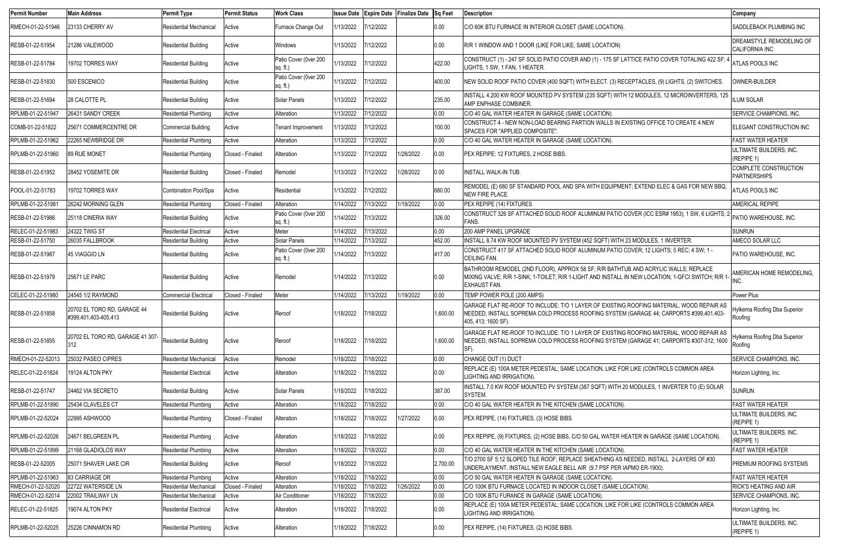| <b>Permit Number</b> | <b>Main Address</b>                                 | <b>Permit Type</b>            | <b>Permit Status</b> | <b>Work Class</b>                 |           |           | Issue Date Expire Date Finalize Date Sq Feet |          | <b>Description</b>                                                                                                                                                                                              | Company                                    |
|----------------------|-----------------------------------------------------|-------------------------------|----------------------|-----------------------------------|-----------|-----------|----------------------------------------------|----------|-----------------------------------------------------------------------------------------------------------------------------------------------------------------------------------------------------------------|--------------------------------------------|
| RMECH-01-22-51946    | 23133 CHERRY AV                                     | Residential Mechanical        | Active               | Furnace Change Out                | /13/2022  | 7/12/2022 |                                              | 0.00     | C/O 60K BTU FURNACE IN INTERIOR CLOSET (SAME LOCATION).                                                                                                                                                         | SADDLEBACK PLUMBING INC                    |
| RESB-01-22-51954     | 21286 VALEWOOD                                      | <b>Residential Building</b>   | Active               | Windows                           | 1/13/2022 | 7/12/2022 |                                              | 0.00     | R/R 1 WINDOW AND 1 DOOR (LIKE FOR LIKE, SAME LOCATION)                                                                                                                                                          | DREAMSTYLE REMODELING OF<br>CALIFORNIA INC |
| RESB-01-22-51784     | 19702 TORRES WAY                                    | <b>Residential Building</b>   | Active               | Patio Cover (0ver 200<br>sa. ft.) | 1/13/2022 | 7/12/2022 |                                              | 422.00   | CONSTRUCT (1) - 247 SF SOLID PATIO COVER AND (1) - 175 SF LATTICE PATIO COVER TOTALING 422 SF;<br>LIGHTS, 1 SW, 1 FAN, 1 HEATER.                                                                                | ATLAS POOLS INC                            |
| RESB-01-22-51830     | 500 ESCENICO                                        | <b>Residential Building</b>   | Active               | Patio Cover (0ver 200<br>sq. ft.) | /13/2022  | 7/12/2022 |                                              | 400.00   | NEW SOLID ROOF PATIO COVER (400 SQFT) WITH ELECT. (3) RECEPTACLES, (9) LIGHTS, (2) SWITCHES.                                                                                                                    | OWNER-BUILDER                              |
| RESB-01-22-51694     | 28 CALOTTE PL                                       | <b>Residential Building</b>   | Active               | Solar Panels                      | 1/13/2022 | 7/12/2022 |                                              | 235.00   | INSTALL 4.200 KW ROOF MOUNTED PV SYSTEM (235 SQFT) WITH 12 MODULES, 12 MICROINVERTERS, 125<br><b>AMP ENPHASE COMBINER</b>                                                                                       | <b>ILUM SOLAR</b>                          |
| RPLMB-01-22-51947    | 26431 SANDY CREEK                                   | <b>Residential Plumbing</b>   | Active               | Alteration                        | 1/13/2022 | 7/12/2022 |                                              | 0.00     | C/O 40 GAL WATER HEATER IN GARAGE (SAME LOCATION).                                                                                                                                                              | SERVICE CHAMPIONS, INC.                    |
| COMB-01-22-51822     | 25671 COMMERCENTRE DR                               | Commercial Building           | Active               | <b>Tenant Improvement</b>         | 1/13/2022 | 7/12/2022 |                                              | 100.00   | CONSTRUCT 4 - NEW NON-LOAD BEARING PARTION WALLS IN EXISTING OFFICE TO CREATE 4 NEW<br>SPACES FOR "APPLIED COMPOSITE".                                                                                          | ELEGANT CONSTRUCTION INC                   |
| RPLMB-01-22-51962    | 22265 NEWBRIDGE DR                                  | <b>Residential Plumbing</b>   | Active               | Alteration                        | 1/13/2022 | 7/12/2022 |                                              | 0.00     | C/O 40 GAL WATER HEATER IN GARAGE (SAME LOCATION).                                                                                                                                                              | <b>FAST WATER HEATER</b>                   |
| RPLMB-01-22-51960    | 89 RUE MONET                                        | Residential Plumbing          | Closed - Finaled     | Alteration                        | 1/13/2022 | 7/12/2022 | 1/28/2022                                    | 0.00     | PEX REPIPE: 12 FIXTURES, 2 HOSE BIBS.                                                                                                                                                                           | ULTIMATE BUILDERS, INC.<br>(REPIPE 1)      |
| RESB-01-22-51952     | 28452 YOSEMITE DR                                   | <b>Residential Building</b>   | Closed - Finaled     | Remodel                           | 1/13/2022 | 7/12/2022 | 1/28/2022                                    | 0.00     | <b>INSTALL WALK-IN TUB.</b>                                                                                                                                                                                     | COMPLETE CONSTRUCTION<br>PARTNERSHIPS      |
| POOL-01-22-51783     | 19702 TORRES WAY                                    | Combination Pool/Spa          | Active               | Residential                       | 1/13/2022 | 7/12/2022 |                                              | 680.00   | REMODEL (E) 680 SF STANDARD POOL AND SPA WITH EQUIPMENT; EXTEND ELEC & GAS FOR NEW BBQ<br>NEW FIRE PLACE.                                                                                                       | ATLAS POOLS INC                            |
| RPLMB-01-22-51981    | 26242 MORNING GLEN                                  | <b>Residential Plumbing</b>   | Closed - Finaled     | Alteration                        | 1/14/2022 | 7/13/2022 | 1/19/2022                                    | 0.00     | <b>PEX REPIPE (14) FIXTURES</b>                                                                                                                                                                                 | <b>AMERICAL REPIPE</b>                     |
| RESB-01-22-51986     | 25118 CINERIA WAY                                   | <b>Residential Building</b>   | Active               | Patio Cover (0ver 200<br>sa. ft.) | 1/14/2022 | 7/13/2022 |                                              | 326.00   | CONSTRUCT 326 SF ATTACHED SOLID ROOF ALUMINUM PATIO COVER (ICC ESR# 1953); 1 SW, 6 LIGHTS, 2<br>FANS.                                                                                                           | PATIO WAREHOUSE, INC.                      |
| RELEC-01-22-51983    | <b>24322 TWIG ST</b>                                | <b>Residential Electrical</b> | Active               | Meter                             | 1/14/2022 | 7/13/2022 |                                              | 0.00     | 200 AMP PANEL UPGRADE                                                                                                                                                                                           | <b>SUNRUN</b>                              |
| RESB-01-22-51750     | 26035 FALLBROOK                                     | <b>Residential Building</b>   | Active               | Solar Panels                      | 1/14/2022 | 7/13/2022 |                                              | 452.00   | INSTALL 8.74 KW ROOF MOUNTED PV SYSTEM (452 SQFT) WITH 23 MODULES, 1 INVERTER.                                                                                                                                  | AMECO SOLAR LLC                            |
| RESB-01-22-51987     | 45 VIAGGIO LN                                       | <b>Residential Building</b>   | Active               | Patio Cover (0ver 200<br>sq. ft.) | 1/14/2022 | 7/13/2022 |                                              | 417.00   | CONSTRUCT 417 SF ATTACHED SOLID ROOF ALUMINUM PATIO COVER; 12 LIGHTS; 5 REC; 4 SW; 1 -<br>CEILING FAN.                                                                                                          | PATIO WAREHOUSE, INC.                      |
| RESB-01-22-51979     | <b>25671 LE PARC</b>                                | <b>Residential Building</b>   | Active               | Remodel                           | 1/14/2022 | 7/13/2022 |                                              | 0.00     | BATHROOM REMODEL (2ND FLOOR), APPROX 58 SF; R/R BATHTUB AND ACRYLIC WALLS; REPLACE<br>MIXING VALVE; R/R 1-SINK; 1-TOILET; R/R 1-LIGHT AND INSTALL IN NEW LOCATION; 1-GFCI SWITCH; R/R 1-<br><b>EXHAUST FAN.</b> | AMERICAN HOME REMODELING.                  |
| CELEC-01-22-51980    | 24545 1/2 RAYMOND                                   | <b>Commercial Electrical</b>  | Closed - Finaled     | Meter                             | 1/14/2022 | 7/13/2022 | 1/19/2022                                    | 0.00     | TEMP POWER POLE (200 AMPS)                                                                                                                                                                                      | Power Plus                                 |
| RESB-01-22-51858     | 20702 EL TORO RD, GARAGE 44<br>#399,401,403-405,413 | <b>Residential Building</b>   | Active               | Reroof                            | 1/18/2022 | 7/18/2022 |                                              | 1,600.00 | GARAGE FLAT RE-ROOF TO INCLUDE: T/O 1 LAYER OF EXISTING ROOFING MATERIAL, WOOD REPAIR AS<br>NEEDED, INSTALL SOPREMA COLD PROCESS ROOFING SYSTEM (GARAGE 44; CARPORTS #399,401,403-<br>405, 413; 1600 SF).       | Hylkema Roofing Dba Superior<br>Roofing    |
| RESB-01-22-51855     | 20702 EL TORO RD, GARAGE 41 307-                    | Residential Building          | Active               | Reroof                            | 1/18/2022 | 7/18/2022 |                                              | 1,600.00 | GARAGE FLAT RE-ROOF TO INCLUDE: T/O 1 LAYER OF EXISTING ROOFING MATERIAL, WOOD REPAIR AS<br>NEEDED, INSTALL SOPREMA COLD PROCESS ROOFING SYSTEM (GARAGE 41; CARPORTS #307-312; 1600<br>SF).                     | Hylkema Roofing Dba Superior<br>Roofing    |
| RMECH-01-22-52013    | 25032 PASEO CIPRES                                  | <b>Residential Mechanical</b> | Active               | Remodel                           | 1/18/2022 | 7/18/2022 |                                              | 0.00     | CHANGE OUT (1) DUCT                                                                                                                                                                                             | <b>SERVICE CHAMPIONS, INC.</b>             |
| RELEC-01-22-51824    | 19124 ALTON PKY                                     | <b>Residential Electrical</b> | Active               | Alteration                        | 1/18/2022 | 7/18/2022 |                                              | 0.00     | REPLACE (E) 100A METER PEDESTAL; SAME LOCATION, LIKE FOR LIKE (CONTROLS COMMON AREA<br>LIGHTING AND IRRIGATION).                                                                                                | Horizon Lighting, Inc.                     |
| RESB-01-22-51747     | 24462 VIA SECRETO                                   | <b>Residential Building</b>   | Active               | Solar Panels                      | 1/18/2022 | 7/18/2022 |                                              | 387.00   | INSTALL 7.0 KW ROOF MOUNTED PV SYSTEM (387 SQFT) WITH 20 MODULES, 1 INVERTER TO (E) SOLAR<br>SYSTEM.                                                                                                            | <b>SUNRUN</b>                              |
| RPLMB-01-22-51890    | 25434 CLAVELES CT                                   | <b>Residential Plumbing</b>   | Active               | Alteration                        | 1/18/2022 | 7/18/2022 |                                              | 0.00     | C/O 40 GAL WATER HEATER IN THE KITCHEN (SAME LOCATION).                                                                                                                                                         | <b>FAST WATER HEATER</b>                   |
| RPLMB-01-22-52024    | 22995 ASHWOOD                                       | Residential Plumbing          | Closed - Finaled     | Alteration                        | 1/18/2022 | 7/18/2022 | 1/27/2022                                    | 0.00     | PEX REPIPE, (14) FIXTURES, (3) HOSE BIBS.                                                                                                                                                                       | ULTIMATE BUILDERS, INC.<br>(REPIPE 1)      |
| RPLMB-01-22-52026    | 24671 BELGREEN PL                                   | Residential Plumbing          | Active               | Alteration                        | 1/18/2022 | 7/18/2022 |                                              | 0.00     | PEX REPIPE, (9) FIXTURES, (2) HOSE BIBS, C/O 50 GAL WATER HEATER IN GARAGE (SAME LOCATION).                                                                                                                     | ULTIMATE BUILDERS, INC.<br>(REPIPE 1)      |
| RPLMB-01-22-51899    | 21168 GLADIOLOS WAY                                 | <b>Residential Plumbing</b>   | Active               | Alteration                        | 1/18/2022 | 7/18/2022 |                                              | 0.00     | C/O 40 GAL WATER HEATER IN THE KITCHEN (SAME LOCATION).                                                                                                                                                         | <b>FAST WATER HEATER</b>                   |
| RESB-01-22-52005     | 25071 SHAVER LAKE CIR                               | <b>Residential Building</b>   | Active               | Reroof                            | 1/18/2022 | 7/18/2022 |                                              | 2,700.00 | T/O 2700 SF 5:12 SLOPED TILE ROOF; REPLACE SHEATHING AS NEEDED, INSTALL 2-LAYERS OF #30<br>UNDERLAYMENT, INSTALL NEW EAGLE BELL AIR (9.7 PSF PER IAPMO ER-1900).                                                | PREMIUM ROOFING SYSTEMS                    |
| RPLMB-01-22-51963    | 83 CARRIAGE DR                                      | <b>Residential Plumbing</b>   | Active               | Alteration                        | 1/18/2022 | 7/18/2022 |                                              | 0.00     | C/O 50 GAL WATER HEATER IN GARAGE (SAME LOCATION).                                                                                                                                                              | <b>FAST WATER HEATER</b>                   |
| RMECH-01-22-52020    | 22722 WATERSIDE LN                                  | <b>Residential Mechanical</b> | Closed - Finaled     | Alteration                        | 1/18/2022 | 7/18/2022 | 1/26/2022                                    | 0.00     | C/O 100K BTU FURNACE LOCATED IN INDOOR CLOSET (SAME LOCATION).                                                                                                                                                  | <b>RICK'S HEATING AND AIR</b>              |
| RMECH-01-22-52014    | 22002 TRAILWAY LN                                   | <b>Residential Mechanical</b> | Active               | Air Conditioner                   | 1/18/2022 | 7/18/2022 |                                              | 0.00     | C/O 100K BTU FURANCE IN GARAGE (SAME LOCATION).                                                                                                                                                                 | <b>SERVICE CHAMPIONS, INC.</b>             |
| RELEC-01-22-51825    | 19074 ALTON PKY                                     | <b>Residential Electrical</b> | Active               | Alteration                        | 1/18/2022 | 7/18/2022 |                                              | 0.00     | REPLACE (E) 100A METER PEDESTAL; SAME LOCATION, LIKE FOR LIKE (CONTROLS COMMON AREA<br>LIGHTING AND IRRIGATION).                                                                                                | Horizon Lighting, Inc.                     |
| RPLMB-01-22-52025    | 25226 CINNAMON RD                                   | <b>Residential Plumbing</b>   | Active               | Alteration                        | 1/18/2022 | 7/18/2022 |                                              | 0.00     | PEX REPIPE, (14) FIXTURES, (2) HOSE BIBS.                                                                                                                                                                       | ULTIMATE BUILDERS, INC.<br>(REPIPE 1)      |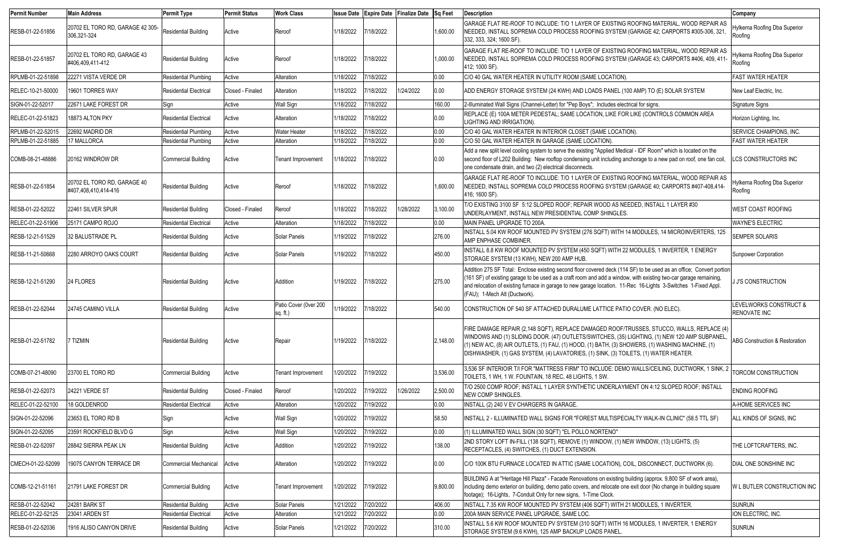| <b>Permit Number</b> | <b>Main Address</b>                                 | <b>Permit Type</b>            | <b>Permit Status</b> | <b>Work Class</b>                 |           |           | Issue Date Expire Date Finalize Date Sq Feet |          | <b>Description</b>                                                                                                                                                                                                                                                                                                                                                                         | Company                                       |
|----------------------|-----------------------------------------------------|-------------------------------|----------------------|-----------------------------------|-----------|-----------|----------------------------------------------|----------|--------------------------------------------------------------------------------------------------------------------------------------------------------------------------------------------------------------------------------------------------------------------------------------------------------------------------------------------------------------------------------------------|-----------------------------------------------|
| RESB-01-22-51856     | 20702 EL TORO RD, GARAGE 42 305-<br>306,321-324     | Residential Building          | Active               | Reroof                            | 1/18/2022 | 7/18/2022 |                                              | 1,600.00 | GARAGE FLAT RE-ROOF TO INCLUDE: T/O 1 LAYER OF EXISTING ROOFING MATERIAL, WOOD REPAIR AS<br>NEEDED, INSTALL SOPREMA COLD PROCESS ROOFING SYSTEM (GARAGE 42; CARPORTS #305-306, 321,<br>332, 333, 324; 1600 SF).                                                                                                                                                                            | Hylkema Roofing Dba Superior<br>Roofing       |
| RESB-01-22-51857     | 20702 EL TORO RD, GARAGE 43<br>#406,409,411-412     | Residential Building          | Active               | Reroof                            | 1/18/2022 | 7/18/2022 |                                              | 1,000.00 | GARAGE FLAT RE-ROOF TO INCLUDE: T/O 1 LAYER OF EXISTING ROOFING MATERIAL, WOOD REPAIR AS<br>NEEDED, INSTALL SOPREMA COLD PROCESS ROOFING SYSTEM (GARAGE 43; CARPORTS #406, 409, 411-<br>412; 1000 SF).                                                                                                                                                                                     | Hylkema Roofing Dba Superior<br>Roofing       |
| RPLMB-01-22-51898    | 22271 VISTA VERDE DR                                | Residential Plumbing          | Active               | Alteration                        | 1/18/2022 | 7/18/2022 |                                              | 0.00     | C/O 40 GAL WATER HEATER IN UTILITY ROOM (SAME LOCATION).                                                                                                                                                                                                                                                                                                                                   | <b>FAST WATER HEATER</b>                      |
| RELEC-10-21-50000    | 19601 TORRES WAY                                    | <b>Residential Electrical</b> | Closed - Finaled     | Alteration                        | 1/18/2022 | 7/18/2022 | 1/24/2022                                    | 0.00     | ADD ENERGY STORAGE SYSTEM (24 KWH) AND LOADS PANEL (100 AMP) TO (E) SOLAR SYSTEM                                                                                                                                                                                                                                                                                                           | New Leaf Electric, Inc.                       |
| SIGN-01-22-52017     | 22671 LAKE FOREST DR                                | Sign                          | Active               | <b>Wall Sign</b>                  | 1/18/2022 | 7/18/2022 |                                              | 160.00   | 2-Illuminated Wall Signs (Channel-Letter) for "Pep Boys"; Includes electrical for signs.                                                                                                                                                                                                                                                                                                   | Signature Signs                               |
| RELEC-01-22-51823    | 18873 ALTON PKY                                     | <b>Residential Electrical</b> | Active               | Alteration                        | 1/18/2022 | 7/18/2022 |                                              | 0.00     | REPLACE (E) 100A METER PEDESTAL; SAME LOCATION, LIKE FOR LIKE (CONTROLS COMMON AREA<br>LIGHTING AND IRRIGATION).                                                                                                                                                                                                                                                                           | Horizon Lighting, Inc.                        |
| RPLMB-01-22-52015    | 22692 MADRID DR                                     | <b>Residential Plumbing</b>   | Active               | <b>Water Heater</b>               | 1/18/2022 | 7/18/2022 |                                              | 0.00     | C/O 40 GAL WATER HEATER IN INTERIOR CLOSET (SAME LOCATION).                                                                                                                                                                                                                                                                                                                                | <b>SERVICE CHAMPIONS, INC</b>                 |
| RPLMB-01-22-51885    | 17 MALLORCA                                         | <b>Residential Plumbing</b>   | Active               | Alteration                        | 1/18/2022 | 7/18/2022 |                                              | 0.00     | C/O 50 GAL WATER HEATER IN GARAGE (SAME LOCATION).                                                                                                                                                                                                                                                                                                                                         | <b>FAST WATER HEATER</b>                      |
| COMB-08-21-48886     | 20162 WINDROW DR                                    | <b>Commercial Building</b>    | Active               | <b>Tenant Improvement</b>         | 1/18/2022 | 7/18/2022 |                                              | 0.00     | Add a new split level cooling system to serve the existing "Applied Medical - IDF Room" which is located on the<br>second floor of L202 Building: New rooftop condensing unit including anchorage to a new pad on roof, one fan coil,<br>one condensate drain, and two (2) electrical disconnects.                                                                                         | LCS CONSTRUCTORS INC                          |
| RESB-01-22-51854     | 20702 EL TORO RD, GARAGE 40<br>#407,408,410,414-416 | <b>Residential Building</b>   | Active               | Reroof                            | 1/18/2022 | 7/18/2022 |                                              | 1,600.00 | GARAGE FLAT RE-ROOF TO INCLUDE: T/O 1 LAYER OF EXISTING ROOFING MATERIAL, WOOD REPAIR AS<br>NEEDED, INSTALL SOPREMA COLD PROCESS ROOFING SYSTEM (GARAGE 40; CARPORTS #407-408,414-<br>416; 1600 SF).                                                                                                                                                                                       | Hylkema Roofing Dba Superior<br>Roofing       |
| RESB-01-22-52022     | 22461 SILVER SPUR                                   | <b>Residential Building</b>   | Closed - Finaled     | Reroof                            | 1/18/2022 | 7/18/2022 | 1/28/2022                                    | 3,100.00 | T/O EXISTING 3100 SF 5:12 SLOPED ROOF; REPAIR WOOD AS NEEDED, INSTALL 1 LAYER #30<br>UNDERLAYMENT, INSTALL NEW PRESIDENTIAL COMP SHINGLES.                                                                                                                                                                                                                                                 | <b>WEST COAST ROOFING</b>                     |
| RELEC-01-22-51906    | 25171 CAMPO ROJO                                    | <b>Residential Electrical</b> | Active               | Alteration                        | 1/18/2022 | 7/18/2022 |                                              | 0.00     | MAIN PANEL UPGRADE TO 200A                                                                                                                                                                                                                                                                                                                                                                 | <b>WAYNE'S ELECTRIC</b>                       |
| RESB-12-21-51529     | 32 BALUSTRADE PL                                    | <b>Residential Building</b>   | Active               | Solar Panels                      | 1/19/2022 | 7/18/2022 |                                              | 276.00   | INSTALL 5.04 KW ROOF MOUNTED PV SYSTEM (276 SQFT) WITH 14 MODULES, 14 MICROINVERTERS, 125<br>AMP ENPHASE COMBINER.                                                                                                                                                                                                                                                                         | SEMPER SOLARIS                                |
| RESB-11-21-50668     | 2280 ARROYO OAKS COURT                              | <b>Residential Building</b>   | Active               | Solar Panels                      | 1/19/2022 | 7/18/2022 |                                              | 450.00   | INSTALL 8.8 KW ROOF MOUNTED PV SYSTEM (450 SQFT) WITH 22 MODULES, 1 INVERTER, 1 ENERGY<br>STORAGE SYSTEM (13 KWH), NEW 200 AMP HUB                                                                                                                                                                                                                                                         | <b>Sunpower Corporation</b>                   |
| RESB-12-21-51290     | <b>24 FLORES</b>                                    | <b>Residential Building</b>   | Active               | Addition                          | 1/19/2022 | 7/18/2022 |                                              | 275.00   | Addition 275 SF Total: Enclose existing second floor covered deck (114 SF) to be used as an office; Convert portion<br>(161 SF) of existing garage to be used as a craft room and add a window, with existing two-car garage remaining,<br>and relocation of existing furnace in garage to new garage location. 11-Rec 16-Lights 3-Switches 1-Fixed Appl.<br>(FAU); 1-Mech Alt (Ductwork). | <b>J J'S CONSTRUCTION</b>                     |
| RESB-01-22-52044     | 24745 CAMINO VILLA                                  | <b>Residential Building</b>   | Active               | Patio Cover (0ver 200<br>sq. ft.) | 1/19/2022 | 7/18/2022 |                                              | 540.00   | CONSTRUCTION OF 540 SF ATTACHED DURALUME LATTICE PATIO COVER. (NO ELEC).                                                                                                                                                                                                                                                                                                                   | LEVELWORKS CONSTRUCT &<br><b>RENOVATE INC</b> |
| RESB-01-22-51782     | 7 TIZMIN                                            | <b>Residential Building</b>   | Active               | Repair                            | 1/19/2022 | 7/18/2022 |                                              | 2,148.00 | FIRE DAMAGE REPAIR (2,148 SQFT), REPLACE DAMAGED ROOF/TRUSSES, STUCCO, WALLS, REPLACE (4)<br>WINDOWS AND (1) SLIDING DOOR. (47) OUTLETS/SWITCHES, (35) LIGHTING, (1) NEW 120 AMP SUBPANEL,<br>$(1)$ NEW A/C, (8) AIR OUTLETS, (1) FAU, (1) HOOD, (1) BATH, (3) SHOWERS, (1) WASHING MACHINE, (1)<br>DISHWASHER, (1) GAS SYSTEM, (4) LAVATORIES, (1) SINK, (3) TOILETS, (1) WATER HEATER.   | <b>ABG Construction &amp; Restoration</b>     |
| COMB-07-21-48090     | 23700 EL TORO RD                                    | <b>Commercial Building</b>    | Active               | <b>Tenant Improvement</b>         | 1/20/2022 | 7/19/2022 |                                              | 3,536.00 | 3,536 SF INTERIOIR T/I FOR "MATTRESS FIRM" TO INCLUDE: DEMO WALLS/CEILING, DUCTWORK, 1 SINK, 2<br>TOILETS, 1 WH, 1 W. FOUNTAIN, 18 REC, 48 LIGHTS, 1 SW.                                                                                                                                                                                                                                   | TORCOM CONSTRUCTION                           |
| RESB-01-22-52073     | 24221 VERDE ST                                      | <b>Residential Building</b>   | Closed - Finaled     | Reroof                            | 1/20/2022 | 7/19/2022 | 1/26/2022                                    | 2,500.00 | T/O 2500 COMP ROOF; INSTALL 1 LAYER SYNTHETIC UNDERLAYMENT ON 4:12 SLOPED ROOF; INSTALL<br>NEW COMP SHINGLES.                                                                                                                                                                                                                                                                              | <b>ENDING ROOFING</b>                         |
| RELEC-01-22-52100    | 18 GOLDENROD                                        | <b>Residential Electrical</b> | Active               | Alteration                        | 1/20/2022 | 7/19/2022 |                                              | 0.00     | INSTALL (2) 240 V EV CHARGERS IN GARAGE.                                                                                                                                                                                                                                                                                                                                                   | A-HOME SERVICES INC                           |
| SIGN-01-22-52096     | 23653 EL TORO RD B                                  | Sign                          | Active               | <b>Wall Sign</b>                  | 1/20/2022 | 7/19/2022 |                                              | 58.50    | INSTALL 2 - ILLUMINATED WALL SIGNS FOR "FOREST MULTISPECIALTY WALK-IN CLINIC" (58.5 TTL SF)                                                                                                                                                                                                                                                                                                | ALL KINDS OF SIGNS, INC                       |
| SIGN-01-22-52095     | 23591 ROCKFIELD BLVD G                              | Sign                          | Active               | <b>Wall Sign</b>                  | 1/20/2022 | 7/19/2022 |                                              | 0.00     | (1) ILLUMINATED WALL SIGN (30 SQFT) "EL POLLO NORTENO"                                                                                                                                                                                                                                                                                                                                     |                                               |
| RESB-01-22-52097     | 28842 SIERRA PEAK LN                                | <b>Residential Building</b>   | Active               | Addition                          | 1/20/2022 | 7/19/2022 |                                              | 138.00   | 2ND STORY LOFT IN-FILL (138 SQFT), REMOVE (1) WINDOW, (1) NEW WINDOW, (13) LIGHTS, (5)<br>RECEPTACLES, (4) SWITCHES, (1) DUCT EXTENSION.                                                                                                                                                                                                                                                   | THE LOFTCRAFTERS, INC.                        |
| CMECH-01-22-52099    | 19075 CANYON TERRACE DR                             | <b>Commercial Mechanical</b>  | Active               | Alteration                        | 1/20/2022 | 7/19/2022 |                                              | 0.00     | C/O 100K BTU FURNACE LOCATED IN ATTIC (SAME LOCATION), COIL, DISCONNECT, DUCTWORK (6).                                                                                                                                                                                                                                                                                                     | <b>DIAL ONE SONSHINE INC</b>                  |
| COMB-12-21-51161     | 21791 LAKE FOREST DR                                | Commercial Building           | Active               | <b>Tenant Improvement</b>         | 1/20/2022 | 7/19/2022 |                                              | 9,800.00 | BUILDING A at "Heritage Hill Plaza" - Facade Renovations on existing building (approx. 9,800 SF of work area),<br>including demo exterior on building, demo patio covers, and relocate one exit door (No change in building square<br>footage); 16-Lights, 7-Conduit Only for new signs, 1-Time Clock.                                                                                     | W L BUTLER CONSTRUCTION INC                   |
| RESB-01-22-52042     | <b>24281 BARK ST</b>                                | <b>Residential Building</b>   | Active               | Solar Panels                      | 1/21/2022 | 7/20/2022 |                                              | 406.00   | INSTALL 7.35 KW ROOF MOUNTED PV SYSTEM (406 SQFT) WITH 21 MODULES, 1 INVERTER.                                                                                                                                                                                                                                                                                                             | <b>SUNRUN</b>                                 |
| RELEC-01-22-52125    | 23041 ARDEN ST                                      | <b>Residential Electrical</b> | Active               | Alteration                        | 1/21/2022 | 7/20/2022 |                                              | 0.00     | 200A MAIN SERVICE PANEL UPGRADE, SAME LOC.                                                                                                                                                                                                                                                                                                                                                 | ION ELECTRIC, INC.                            |
| RESB-01-22-52036     | 1916 ALISO CANYON DRIVE                             | <b>Residential Building</b>   | Active               | Solar Panels                      | 1/21/2022 | 7/20/2022 |                                              | 310.00   | INSTALL 5.6 KW ROOF MOUNTED PV SYSTEM (310 SQFT) WITH 16 MODULES, 1 INVERTER, 1 ENERGY<br>STORAGE SYSTEM (9.6 KWH), 125 AMP BACKUP LOADS PANEL                                                                                                                                                                                                                                             | SUNRUN                                        |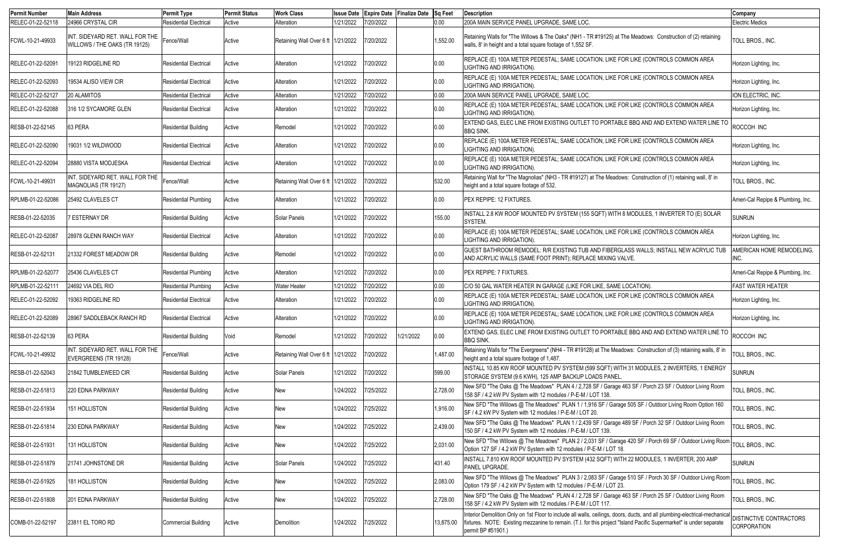| <b>Permit Number</b> | <b>Main Address</b>                                              | <b>Permit Type</b>            | <b>Permit Status</b> | <b>Work Class</b>                    | <b>Issue Date</b> |           | Expire Date Finalize Date Sq Feet |           | <b>Description</b>                                                                                                                                                                                                                                                      | Company                                       |
|----------------------|------------------------------------------------------------------|-------------------------------|----------------------|--------------------------------------|-------------------|-----------|-----------------------------------|-----------|-------------------------------------------------------------------------------------------------------------------------------------------------------------------------------------------------------------------------------------------------------------------------|-----------------------------------------------|
| RELEC-01-22-52118    | 24966 CRYSTAL CIR                                                | <b>Residential Electrical</b> | Active               | Alteration                           | 1/21/2022         | 7/20/2022 |                                   | 0.00      | 200A MAIN SERVICE PANEL UPGRADE, SAME LOC.                                                                                                                                                                                                                              | <b>Electric Medics</b>                        |
| FCWL-10-21-49933     | INT. SIDEYARD RET. WALL FOR THE<br>WILLOWS / THE OAKS (TR 19125) | Fence/Wall                    | Active               | Retaining Wall Over 6 ft 1/21/2022   |                   | 7/20/2022 |                                   | 1,552.00  | Retaining Walls for "The Willows & The Oaks" (NH1 - TR #19125) at The Meadows: Construction of (2) retaining<br>walls, 8' in height and a total square footage of 1,552 SF                                                                                              | TOLL BROS., INC.                              |
| RELEC-01-22-52091    | 19123 RIDGELINE RD                                               | <b>Residential Electrical</b> | Active               | Alteration                           | 1/21/2022         | 7/20/2022 |                                   | 0.00      | REPLACE (E) 100A METER PEDESTAL; SAME LOCATION, LIKE FOR LIKE (CONTROLS COMMON AREA<br>LIGHTING AND IRRIGATION).                                                                                                                                                        | Horizon Lighting, Inc.                        |
| RELEC-01-22-52093    | 19534 ALISO VIEW CIR                                             | <b>Residential Electrical</b> | Active               | Alteration                           | 1/21/2022         | 7/20/2022 |                                   | 0.00      | REPLACE (E) 100A METER PEDESTAL; SAME LOCATION, LIKE FOR LIKE (CONTROLS COMMON AREA<br>LIGHTING AND IRRIGATION).                                                                                                                                                        | Horizon Lighting, Inc.                        |
| RELEC-01-22-52127    | 20 ALAMITOS                                                      | <b>Residential Electrical</b> | Active               | Alteration                           | 1/21/2022         | 7/20/2022 |                                   | 0.00      | 200A MAIN SERVICE PANEL UPGRADE, SAME LOC.                                                                                                                                                                                                                              | ION ELECTRIC, INC.                            |
| RELEC-01-22-52088    | 316 1/2 SYCAMORE GLEN                                            | <b>Residential Electrical</b> | Active               | Alteration                           | 1/21/2022         | 7/20/2022 |                                   | 0.00      | REPLACE (E) 100A METER PEDESTAL; SAME LOCATION, LIKE FOR LIKE (CONTROLS COMMON AREA<br>LIGHTING AND IRRIGATION).                                                                                                                                                        | Horizon Lighting, Inc.                        |
| RESB-01-22-52145     | 63 PERA                                                          | Residential Building          | Active               | Remodel                              | 1/21/2022         | 7/20/2022 |                                   | 0.00      | EXTEND GAS, ELEC LINE FROM EXISTING OUTLET TO PORTABLE BBQ AND AND EXTEND WATER LINE TO<br><b>BBQ SINK.</b>                                                                                                                                                             | ROCCOH INC                                    |
| RELEC-01-22-52090    | 19031 1/2 WILDWOOD                                               | <b>Residential Electrical</b> | Active               | Alteration                           | 1/21/2022         | 7/20/2022 |                                   | 0.00      | REPLACE (E) 100A METER PEDESTAL; SAME LOCATION, LIKE FOR LIKE (CONTROLS COMMON AREA<br>LIGHTING AND IRRIGATION).                                                                                                                                                        | Horizon Lighting, Inc.                        |
| RELEC-01-22-52094    | 28880 VISTA MODJESKA                                             | <b>Residential Electrical</b> | Active               | Alteration                           | 1/21/2022         | 7/20/2022 |                                   | 0.00      | REPLACE (E) 100A METER PEDESTAL; SAME LOCATION, LIKE FOR LIKE (CONTROLS COMMON AREA<br><b>LIGHTING AND IRRIGATION)</b>                                                                                                                                                  | Horizon Lighting, Inc.                        |
| FCWL-10-21-49931     | INT. SIDEYARD RET. WALL FOR THE<br>MAGNOLIAS (TR 19127)          | Fence/Wall                    | Active               | Retaining Wall Over 6 ft 1/21/2022   |                   | 7/20/2022 |                                   | 532.00    | Retaining Wall for "The Magnolias" (NH3 - TR #19127) at The Meadows: Construction of (1) retaining wall, 8' in<br>height and a total square footage of 532.                                                                                                             | TOLL BROS., INC.                              |
| RPLMB-01-22-52086    | 25492 CLAVELES CT                                                | <b>Residential Plumbing</b>   | Active               | Alteration                           | 1/21/2022         | 7/20/2022 |                                   | 0.00      | PEX REPIPE: 12 FIXTURES.                                                                                                                                                                                                                                                | Ameri-Cal Repipe & Plumbing, Inc.             |
| RESB-01-22-52035     | 7 ESTERNAY DR                                                    | <b>Residential Building</b>   | Active               | Solar Panels                         | 1/21/2022         | 7/20/2022 |                                   | 155.00    | INSTALL 2.8 KW ROOF MOUNTED PV SYSTEM (155 SQFT) WITH 8 MODULES, 1 INVERTER TO (E) SOLAR<br>SYSTEM.                                                                                                                                                                     | <b>SUNRUN</b>                                 |
| RELEC-01-22-52087    | 28978 GLENN RANCH WAY                                            | <b>Residential Electrical</b> | Active               | Alteration                           | 1/21/2022         | 7/20/2022 |                                   | 0.00      | REPLACE (E) 100A METER PEDESTAL; SAME LOCATION, LIKE FOR LIKE (CONTROLS COMMON AREA<br>LIGHTING AND IRRIGATION).                                                                                                                                                        | Horizon Lighting, Inc.                        |
| RESB-01-22-52131     | 21332 FOREST MEADOW DR                                           | <b>Residential Building</b>   | Active               | Remodel                              | 1/21/2022         | 7/20/2022 |                                   | 0.00      | GUEST BATHROOM REMODEL: R/R EXISTING TUB AND FIBERGLASS WALLS; INSTALL NEW ACRYLIC TUB<br>AND ACRYLIC WALLS (SAME FOOT PRINT); REPLACE MIXING VALVE.                                                                                                                    | AMERICAN HOME REMODELING,<br>INC.             |
| RPLMB-01-22-52077    | 25436 CLAVELES CT                                                | <b>Residential Plumbing</b>   | Active               | Alteration                           | 1/21/2022         | 7/20/2022 |                                   | 0.00      | <b>PEX REPIPE: 7 FIXTURES.</b>                                                                                                                                                                                                                                          | Ameri-Cal Repipe & Plumbing, Inc.             |
| RPLMB-01-22-52111    | 24692 VIA DEL RIO                                                | <b>Residential Plumbing</b>   | Active               | <b>Water Heater</b>                  | 1/21/2022         | 7/20/2022 |                                   | 0.00      | C/O 50 GAL WATER HEATER IN GARAGE (LIKE FOR LIKE, SAME LOCATION).                                                                                                                                                                                                       | <b>FAST WATER HEATER</b>                      |
| RELEC-01-22-52092    | 19363 RIDGELINE RD                                               | <b>Residential Electrical</b> | Active               | Alteration                           | 1/21/2022         | 7/20/2022 |                                   | 0.00      | REPLACE (E) 100A METER PEDESTAL; SAME LOCATION, LIKE FOR LIKE (CONTROLS COMMON AREA<br>LIGHTING AND IRRIGATION).                                                                                                                                                        | Horizon Lighting, Inc.                        |
| RELEC-01-22-52089    | 28967 SADDLEBACK RANCH RD                                        | <b>Residential Electrical</b> | Active               | Alteration                           | 1/21/2022         | 7/20/2022 |                                   | 0.00      | REPLACE (E) 100A METER PEDESTAL; SAME LOCATION, LIKE FOR LIKE (CONTROLS COMMON AREA<br><b>LIGHTING AND IRRIGATION)</b>                                                                                                                                                  | Horizon Lighting, Inc.                        |
| RESB-01-22-52139     | 63 PERA                                                          | <b>Residential Building</b>   | Void                 | Remodel                              | 1/21/2022         | 7/20/2022 | 1/21/2022                         | 0.00      | EXTEND GAS, ELEC LINE FROM EXISTING OUTLET TO PORTABLE BBQ AND AND EXTEND WATER LINE TO<br><b>BBQ SINK.</b>                                                                                                                                                             | ROCCOH INC                                    |
| FCWL-10-21-49932     | INT. SIDEYARD RET. WALL FOR THE<br>EVERGREENS (TR 19128)         | Fence/Wall                    | Active               | Retaining Wall Over 6 ft   1/21/2022 |                   | 7/20/2022 |                                   | 1,487.00  | Retaining Walls for "The Evergreens" (NH4 - TR #19128) at The Meadows: Construction of (3) retaining walls, 8' in<br>height and a total square footage of 1,487.                                                                                                        | TOLL BROS., INC.                              |
| RESB-01-22-52043     | 21842 TUMBLEWEED CIR                                             | <b>Residential Building</b>   | Active               | Solar Panels                         | 1/21/2022         | 7/20/2022 |                                   | 599.00    | INSTALL 10.85 KW ROOF MOUNTED PV SYSTEM (599 SQFT) WITH 31 MODULES, 2 INVERTERS, 1 ENERGY<br>STORAGE SYSTEM (9.6 KWH), 125 AMP BACKUP LOADS PANEL                                                                                                                       | <b>SUNRUN</b>                                 |
| RESB-01-22-51813     | 220 EDNA PARKWAY                                                 | <b>Residential Building</b>   | Active               | New                                  | 1/24/2022         | 7/25/2022 |                                   | 2,728.00  | New SFD "The Oaks @ The Meadows" PLAN 4 / 2,728 SF / Garage 463 SF / Porch 23 SF / Outdoor Living Room<br>158 SF / 4.2 kW PV System with 12 modules / P-E-M / LOT 138.                                                                                                  | TOLL BROS., INC.                              |
| RESB-01-22-51934     | 151 HOLLISTON                                                    | <b>Residential Building</b>   | Active               | New                                  | 1/24/2022         | 7/25/2022 |                                   | 1,916.00  | New SFD "The Willows @ The Meadows" PLAN 1 / 1,916 SF / Garage 505 SF / Outdoor Living Room Option 160<br>SF / 4.2 kW PV System with 12 modules / P-E-M / LOT 20.                                                                                                       | TOLL BROS., INC.                              |
| RESB-01-22-51814     | 230 EDNA PARKWAY                                                 | <b>Residential Building</b>   | Active               | New                                  | 1/24/2022         | 7/25/2022 |                                   | 2,439.00  | New SFD "The Oaks @ The Meadows" PLAN 1 / 2,439 SF / Garage 489 SF / Porch 32 SF / Outdoor Living Room<br>150 SF / 4.2 kW PV System with 12 modules / P-E-M / LOT 139.                                                                                                  | TOLL BROS., INC.                              |
| RESB-01-22-51931     | 131 HOLLISTON                                                    | <b>Residential Building</b>   | Active               | New                                  | 1/24/2022         | 7/25/2022 |                                   | 2,031.00  | New SFD "The Willows @ The Meadows" PLAN 2 / 2,031 SF / Garage 420 SF / Porch 69 SF / Outdoor Living Room<br>Option 127 SF / 4.2 kW PV System with 12 modules / P-E-M / LOT 18.                                                                                         | TOLL BROS., INC.                              |
| RESB-01-22-51879     | 21741 JOHNSTONE DR                                               | <b>Residential Building</b>   | Active               | Solar Panels                         | 1/24/2022         | 7/25/2022 |                                   | 431.40    | INSTALL 7.810 KW ROOF MOUNTED PV SYSTEM (432 SQFT) WITH 22 MODULES, 1 INVERTER, 200 AMP<br>PANEL UPGRADE.                                                                                                                                                               | <b>SUNRUN</b>                                 |
| RESB-01-22-51925     | 181 HOLLISTON                                                    | <b>Residential Building</b>   | Active               | New                                  | 1/24/2022         | 7/25/2022 |                                   | 2,083.00  | New SFD "The Willows @ The Meadows" PLAN 3 / 2,083 SF / Garage 510 SF / Porch 30 SF / Outdoor Living Room<br>Option 179 SF / 4.2 kW PV System with 12 modules / P-E-M / LOT 23.                                                                                         | TOLL BROS., INC.                              |
| RESB-01-22-51808     | <b>201 EDNA PARKWAY</b>                                          | <b>Residential Building</b>   | Active               | New                                  | 1/24/2022         | 7/25/2022 |                                   | 2,728.00  | New SFD "The Oaks @ The Meadows" PLAN 4 / 2,728 SF / Garage 463 SF / Porch 25 SF / Outdoor Living Room<br>158 SF / 4.2 kW PV System with 12 modules / P-E-M / LOT 117.                                                                                                  | TOLL BROS., INC.                              |
| COMB-01-22-52197     | 23811 EL TORO RD                                                 | <b>Commercial Building</b>    | Active               | Demolition                           | 1/24/2022         | 7/25/2022 |                                   | 13,875.00 | Interior Demolition Only on 1st Floor to include all walls, ceilings, doors, ducts, and all plumbing-electrical-mechanical<br>fixtures. NOTE: Existing mezzanine to remain. (T.I. for this project "Island Pacific Supermarket" is under separate<br>permit BP #51901.) | <b>DISTINCTIVE CONTRACTORS</b><br>CORPORATION |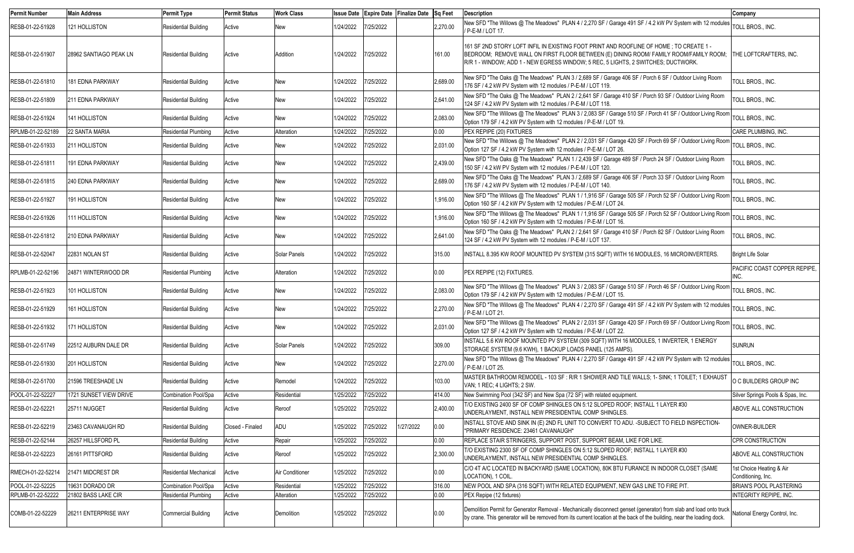| <b>Permit Number</b> | <b>Main Address</b>     | <b>Permit Type</b>          | <b>Permit Status</b> | <b>Work Class</b> | <b>Issue Date</b> |           | Expire Date Finalize Date Sq Feet |          | <b>Description</b>                                                                                                                                                                                                                                                         | Company                                        |
|----------------------|-------------------------|-----------------------------|----------------------|-------------------|-------------------|-----------|-----------------------------------|----------|----------------------------------------------------------------------------------------------------------------------------------------------------------------------------------------------------------------------------------------------------------------------------|------------------------------------------------|
| RESB-01-22-51928     | 121 HOLLISTON           | <b>Residential Building</b> | Active               | New               | 1/24/2022         | 7/25/2022 |                                   | 2,270.00 | New SFD "The Willows @ The Meadows" PLAN 4 / 2,270 SF / Garage 491 SF / 4.2 kW PV System with 12 modules<br>/ P-E-M / LOT 17.                                                                                                                                              | TOLL BROS., INC.                               |
| RESB-01-22-51907     | 28962 SANTIAGO PEAK LN  | <b>Residential Building</b> | Active               | Addition          | 1/24/2022         | 7/25/2022 |                                   | 161.00   | 161 SF 2ND STORY LOFT INFIL IN EXISTING FOOT PRINT AND ROOFLINE OF HOME; TO CREATE 1 -<br>BEDROOM; REMOVE WALL ON FIRST FLOOR BETWEEN (E) DINING ROOM/ FAMILY ROOM/FAMILY ROOM;<br>R/R 1 - WINDOW; ADD 1 - NEW EGRESS WINDOW; 5 REC, 5 LIGHTS, 2 SWITCHES; DUCTWORK.       | <b>THE LOFTCRAFTERS, INC.</b>                  |
| RESB-01-22-51810     | 181 EDNA PARKWAY        | <b>Residential Building</b> | Active               | New               | 1/24/2022         | 7/25/2022 |                                   | 2,689.00 | New SFD "The Oaks @ The Meadows" PLAN 3 / 2,689 SF / Garage 406 SF / Porch 6 SF / Outdoor Living Room<br>176 SF / 4.2 kW PV System with 12 modules / P-E-M / LOT 119.                                                                                                      | TOLL BROS., INC.                               |
| RESB-01-22-51809     | <b>211 EDNA PARKWAY</b> | <b>Residential Building</b> | Active               | New               | 1/24/2022         | 7/25/2022 |                                   | 2,641.00 | New SFD "The Oaks @ The Meadows" PLAN 2 / 2,641 SF / Garage 410 SF / Porch 93 SF / Outdoor Living Room<br>124 SF / 4.2 kW PV System with 12 modules / P-E-M / LOT 118.                                                                                                     | TOLL BROS., INC.                               |
| RESB-01-22-51924     | 141 HOLLISTON           | <b>Residential Building</b> | Active               | New               | 1/24/2022         | 7/25/2022 |                                   | 2,083.00 | New SFD "The Willows @ The Meadows" PLAN 3 / 2,083 SF / Garage 510 SF / Porch 41 SF / Outdoor Living Room<br>Option 179 SF / 4.2 kW PV System with 12 modules / P-E-M / LOT 19.                                                                                            | TOLL BROS., INC.                               |
| RPLMB-01-22-52189    | 22 SANTA MARIA          | <b>Residential Plumbing</b> | Active               | Alteration        | 1/24/2022         | 7/25/2022 |                                   | 0.00     | PEX REPIPE (20) FIXTURES                                                                                                                                                                                                                                                   | CARE PLUMBING, INC.                            |
| RESB-01-22-51933     | 211 HOLLISTON           | <b>Residential Building</b> | Active               | New               | 1/24/2022         | 7/25/2022 |                                   | 2,031.00 | New SFD "The Willows @ The Meadows" PLAN 2 / 2,031 SF / Garage 420 SF / Porch 69 SF / Outdoor Living Room<br>Option 127 SF / 4.2 kW PV System with 12 modules / P-E-M / LOT 26.                                                                                            | TOLL BROS., INC.                               |
| RESB-01-22-51811     | 191 EDNA PARKWAY        | <b>Residential Building</b> | Active               | New               | 1/24/2022         | 7/25/2022 |                                   | 2,439.00 | New SFD "The Oaks @ The Meadows" PLAN 1 / 2,439 SF / Garage 489 SF / Porch 24 SF / Outdoor Living Room<br>150 SF / 4.2 kW PV System with 12 modules / P-E-M / LOT 120.                                                                                                     | TOLL BROS., INC.                               |
| RESB-01-22-51815     | 240 EDNA PARKWAY        | <b>Residential Building</b> | Active               | New               | 1/24/2022         | 7/25/2022 |                                   | 2,689.00 | New SFD "The Oaks @ The Meadows" PLAN 3 / 2,689 SF / Garage 406 SF / Porch 33 SF / Outdoor Living Room<br>176 SF / 4.2 kW PV System with 12 modules / P-E-M / LOT 140.                                                                                                     | TOLL BROS., INC.                               |
| RESB-01-22-51927     | 191 HOLLISTON           | <b>Residential Building</b> | Active               | New               | 1/24/2022         | 7/25/2022 |                                   | 1,916.00 | New SFD "The Willows @ The Meadows" PLAN 1 / 1,916 SF / Garage 505 SF / Porch 52 SF / Outdoor Living Room<br>Option 160 SF / 4.2 kW PV System with 12 modules / P-E-M / LOT 24                                                                                             | TOLL BROS., INC.                               |
| RESB-01-22-51926     | 111 HOLLISTON           | <b>Residential Building</b> | Active               | New               | 1/24/2022         | 7/25/2022 |                                   | 1,916.00 | New SFD "The Willows @ The Meadows" PLAN 1 / 1,916 SF / Garage 505 SF / Porch 52 SF / Outdoor Living Room<br>Option 160 SF / 4.2 kW PV System with 12 modules / P-E-M / LOT 16.                                                                                            | TOLL BROS., INC.                               |
| RESB-01-22-51812     | <b>210 EDNA PARKWAY</b> | <b>Residential Building</b> | Active               | New               | 1/24/2022         | 7/25/2022 |                                   | 2,641.00 | New SFD "The Oaks @ The Meadows" PLAN 2 / 2,641 SF / Garage 410 SF / Porch 82 SF / Outdoor Living Room<br>124 SF / 4.2 kW PV System with 12 modules / P-E-M / LOT 137.                                                                                                     | TOLL BROS., INC.                               |
| RESB-01-22-52047     | 22831 NOLAN ST          | <b>Residential Building</b> | Active               | Solar Panels      | 1/24/2022         | 7/25/2022 |                                   | 315.00   | INSTALL 8.395 KW ROOF MOUNTED PV SYSTEM (315 SQFT) WITH 16 MODULES, 16 MICROINVERTERS.                                                                                                                                                                                     | <b>Bright Life Solar</b>                       |
| RPLMB-01-22-52196    | 24871 WINTERWOOD DR     | <b>Residential Plumbing</b> | Active               | Alteration        | 1/24/2022         | 7/25/2022 |                                   | 0.00     | PEX REPIPE (12) FIXTURES.                                                                                                                                                                                                                                                  | PACIFIC COAST COPPER REPIPE<br>INC.            |
| RESB-01-22-51923     | 101 HOLLISTON           | <b>Residential Building</b> | Active               | New               | 1/24/2022         | 7/25/2022 |                                   | 2,083.00 | New SFD "The Willows @ The Meadows" PLAN 3 / 2,083 SF / Garage 510 SF / Porch 46 SF / Outdoor Living Room<br>Option 179 SF / 4.2 kW PV System with 12 modules / P-E-M / LOT 15.                                                                                            | TOLL BROS., INC.                               |
| RESB-01-22-51929     | 161 HOLLISTON           | <b>Residential Building</b> | Active               | New               | 1/24/2022         | 7/25/2022 |                                   | 2,270.00 | New SFD "The Willows @ The Meadows" PLAN 4 / 2,270 SF / Garage 491 SF / 4.2 kW PV System with 12 modules<br>/ P-E-M / LOT 21.                                                                                                                                              | TOLL BROS., INC.                               |
| RESB-01-22-51932     | 171 HOLLISTON           | <b>Residential Building</b> | Active               | New               | 1/24/2022         | 7/25/2022 |                                   | 2,031.00 | New SFD "The Willows @ The Meadows" PLAN 2 / 2,031 SF / Garage 420 SF / Porch 69 SF / Outdoor Living Room<br>Option 127 SF / 4.2 kW PV System with 12 modules / P-E-M / LOT 22.                                                                                            | TOLL BROS., INC.                               |
| RESB-01-22-51749     | 22512 AUBURN DALE DR    | <b>Residential Building</b> | Active               | Solar Panels      | 1/24/2022         | 7/25/2022 |                                   | 309.00   | INSTALL 5.6 KW ROOF MOUNTED PV SYSTEM (309 SQFT) WITH 16 MODULES, 1 INVERTER, 1 ENERGY<br>STORAGE SYSTEM (9.6 KWH), 1 BACKUP LOADS PANEL (125 AMPS).                                                                                                                       | <b>SUNRUN</b>                                  |
| RESB-01-22-51930     | 201 HOLLISTON           | <b>Residential Building</b> | Active               | New               | 1/24/2022         | 7/25/2022 |                                   | 2,270.00 | New SFD "The Willows @ The Meadows" PLAN 4 / 2,270 SF / Garage 491 SF / 4.2 kW PV System with 12 modules<br>/ P-E-M / LOT 25.                                                                                                                                              | TOLL BROS., INC.                               |
| RESB-01-22-51700     | 21596 TREESHADE LN      | <b>Residential Building</b> | Active               | Remodel           | 1/24/2022         | 7/25/2022 |                                   | 103.00   | MASTER BATHROOM REMODEL - 103 SF : R/R 1 SHOWER AND TILE WALLS; 1- SINK; 1 TOILET; 1 EXHAUST<br>VAN; 1 REC; 4 LIGHTS; 2 SW.                                                                                                                                                | O C BUILDERS GROUP INC                         |
| POOL-01-22-52227     | 1721 SUNSET VIEW DRIVE  | Combination Pool/Spa        | Active               | Residential       | 1/25/2022         | 7/25/2022 |                                   | 414.00   | New Swimming Pool (342 SF) and New Spa (72 SF) with related equipment                                                                                                                                                                                                      | Silver Springs Pools & Spas, Inc.              |
| RESB-01-22-52221     | 25711 NUGGET            | <b>Residential Building</b> | Active               | Reroof            | 1/25/2022         | 7/25/2022 |                                   | 2,400.00 | T/O EXISTING 2400 SF OF COMP SHINGLES ON 5:12 SLOPED ROOF; INSTALL 1 LAYER #30<br>UNDERLAYMENT, INSTALL NEW PRESIDENTIAL COMP SHINGLES.                                                                                                                                    | ABOVE ALL CONSTRUCTION                         |
| RESB-01-22-52219     | 23463 CAVANAUGH RD      | <b>Residential Building</b> | Closed - Finaled     | ADU               | 1/25/2022         | 7/25/2022 | 1/27/2022                         | 0.00     | INSTALL STOVE AND SINK IN (E) 2ND FL UNIT TO CONVERT TO ADU. - SUBJECT TO FIELD INSPECTION-<br>*PRIMARY RESIDENCE: 23461 CAVANAUGH*                                                                                                                                        | OWNER-BUILDER                                  |
| RESB-01-22-52144     | 26257 HILLSFORD PL      | <b>Residential Building</b> | Active               | Repair            | 1/25/2022         | 7/25/2022 |                                   | 0.00     | REPLACE STAIR STRINGERS, SUPPORT POST, SUPPORT BEAM, LIKE FOR LIKE.                                                                                                                                                                                                        | CPR CONSTRUCTION                               |
| RESB-01-22-52223     | 26161 PITTSFORD         | <b>Residential Building</b> | Active               | Reroof            | 1/25/2022         | 7/25/2022 |                                   | 2,300.00 | T/O EXISTING 2300 SF OF COMP SHINGLES ON 5:12 SLOPED ROOF; INSTALL 1 LAYER #30<br>UNDERLAYMENT, INSTALL NEW PRESIDENTIAL COMP SHINGLES.                                                                                                                                    | ABOVE ALL CONSTRUCTION                         |
| RMECH-01-22-52214    | 21471 MIDCREST DR       | Residential Mechanical      | Active               | Air Conditioner   | 1/25/2022         | 7/25/2022 |                                   | 0.00     | C/O 4T A/C LOCATED IN BACKYARD (SAME LOCATION), 80K BTU FURANCE IN INDOOR CLOSET (SAME<br>LOCATION), 1 COIL.                                                                                                                                                               | 1st Choice Heating & Air<br>Conditioning, Inc. |
| POOL-01-22-52225     | 19631 DORADO DR         | <b>Combination Pool/Spa</b> | Active               | Residential       | 1/25/2022         | 7/25/2022 |                                   | 316.00   | NEW POOL AND SPA (316 SQFT) WITH RELATED EQUIPMENT, NEW GAS LINE TO FIRE PIT.                                                                                                                                                                                              | <b>BRIAN'S POOL PLASTERING</b>                 |
| RPLMB-01-22-52222    | 21802 BASS LAKE CIR     | <b>Residential Plumbing</b> | Active               | Alteration        | 1/25/2022         | 7/25/2022 |                                   | 0.00     | PEX Repipe (12 fixtures)                                                                                                                                                                                                                                                   | <b>INTEGRITY REPIPE, INC.</b>                  |
| COMB-01-22-52229     | 26211 ENTERPRISE WAY    | <b>Commercial Building</b>  | Active               | Demolition        | 1/25/2022         | 7/25/2022 |                                   | 0.00     | Demolition Permit for Generator Removal - Mechanically disconnect genset (generator) from slab and load onto truck National Energy Control, Inc.<br>by crane. This generator will be removed from its current location at the back of the building, near the loading dock. |                                                |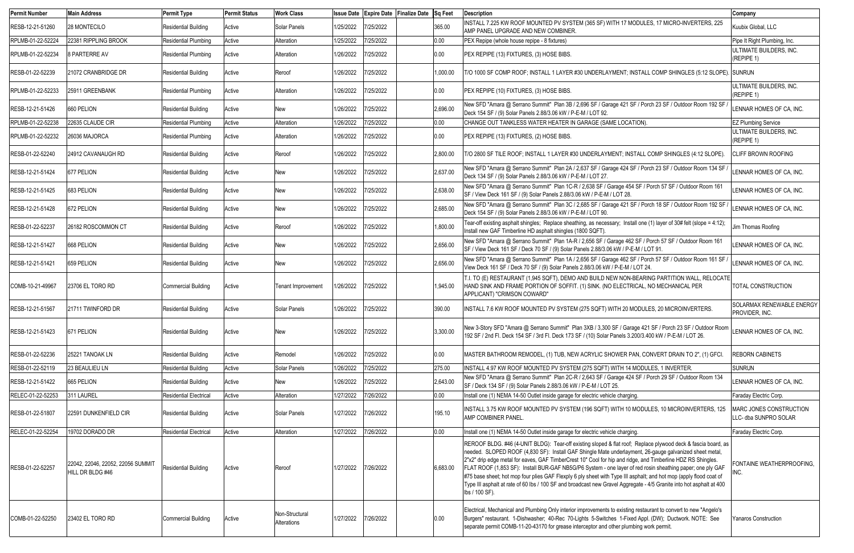| <b>Permit Number</b> | <b>Main Address</b>                                   | <b>Permit Type</b>            | <b>Permit Status</b> | <b>Work Class</b>             | <b>Issue Date</b> | Expire Date Finalize Date Sq Feet |          | <b>Description</b>                                                                                                                                                                                                                                                                                                                                                                                                                                                                                                                                                                                                                                                                                                     | Company                                          |
|----------------------|-------------------------------------------------------|-------------------------------|----------------------|-------------------------------|-------------------|-----------------------------------|----------|------------------------------------------------------------------------------------------------------------------------------------------------------------------------------------------------------------------------------------------------------------------------------------------------------------------------------------------------------------------------------------------------------------------------------------------------------------------------------------------------------------------------------------------------------------------------------------------------------------------------------------------------------------------------------------------------------------------------|--------------------------------------------------|
| RESB-12-21-51260     | 28 MONTECILO                                          | <b>Residential Building</b>   | Active               | Solar Panels                  | 1/25/2022         | 7/25/2022                         | 365.00   | INSTALL 7.225 KW ROOF MOUNTED PV SYSTEM (365 SF) WITH 17 MODULES, 17 MICRO-INVERTERS, 225<br>AMP PANEL UPGRADE AND NEW COMBINER.                                                                                                                                                                                                                                                                                                                                                                                                                                                                                                                                                                                       | Kuubix Global, LLC                               |
| RPLMB-01-22-52224    | 22381 RIPPLING BROOK                                  | <b>Residential Plumbing</b>   | Active               | Alteration                    | 1/25/2022         | 7/25/2022                         | 0.00     | <b>PEX Repipe (whole house repipe - 8 fixtures)</b>                                                                                                                                                                                                                                                                                                                                                                                                                                                                                                                                                                                                                                                                    | Pipe It Right Plumbing, Inc.                     |
| RPLMB-01-22-52234    | <b>8 PARTERRE AV</b>                                  | <b>Residential Plumbing</b>   | Active               | Alteration                    | 1/26/2022         | 7/25/2022                         | 0.00     | PEX REPIPE (13) FIXTURES, (3) HOSE BIBS.                                                                                                                                                                                                                                                                                                                                                                                                                                                                                                                                                                                                                                                                               | ULTIMATE BUILDERS, INC.<br>(REPIPE 1)            |
| RESB-01-22-52239     | 21072 CRANBRIDGE DR                                   | <b>Residential Building</b>   | Active               | Reroof                        | 1/26/2022         | 7/25/2022                         | 1,000.00 | T/O 1000 SF COMP ROOF; INSTALL 1 LAYER #30 UNDERLAYMENT; INSTALL COMP SHINGLES (5:12 SLOPE). SUNRUN                                                                                                                                                                                                                                                                                                                                                                                                                                                                                                                                                                                                                    |                                                  |
| RPLMB-01-22-52233    | 25911 GREENBANK                                       | <b>Residential Plumbing</b>   | Active               | Alteration                    | 1/26/2022         | 7/25/2022                         | 0.00     | PEX REPIPE (10) FIXTURES, (3) HOSE BIBS.                                                                                                                                                                                                                                                                                                                                                                                                                                                                                                                                                                                                                                                                               | ULTIMATE BUILDERS, INC.<br>(REPIPE 1)            |
| RESB-12-21-51426     | 660 PELION                                            | <b>Residential Building</b>   | Active               | New                           | 1/26/2022         | 7/25/2022                         | 2,696.00 | New SFD "Amara @ Serrano Summit" Plan 3B / 2,696 SF / Garage 421 SF / Porch 23 SF / Outdoor Room 192 SF<br>Deck 154 SF / (9) Solar Panels 2.88/3.06 kW / P-E-M / LOT 92.                                                                                                                                                                                                                                                                                                                                                                                                                                                                                                                                               | LENNAR HOMES OF CA, INC.                         |
| RPLMB-01-22-52238    | 22635 CLAUDE CIR                                      | <b>Residential Plumbing</b>   | Active               | Alteration                    | 1/26/2022         | 7/25/2022                         | 0.00     | CHANGE OUT TANKLESS WATER HEATER IN GARAGE (SAME LOCATION).                                                                                                                                                                                                                                                                                                                                                                                                                                                                                                                                                                                                                                                            | <b>EZ Plumbing Service</b>                       |
| RPLMB-01-22-52232    | 26036 MAJORCA                                         | <b>Residential Plumbing</b>   | Active               | Alteration                    | 1/26/2022         | 7/25/2022                         | 0.00     | PEX REPIPE (13) FIXTURES, (2) HOSE BIBS.                                                                                                                                                                                                                                                                                                                                                                                                                                                                                                                                                                                                                                                                               | ULTIMATE BUILDERS, INC.<br>(REPIPE 1)            |
| RESB-01-22-52240     | 24912 CAVANAUGH RD                                    | <b>Residential Building</b>   | Active               | Reroof                        | 1/26/2022         | 7/25/2022                         | 2,800.00 | T/O 2800 SF TILE ROOF; INSTALL 1 LAYER #30 UNDERLAYMENT; INSTALL COMP SHINGLES (4:12 SLOPE).                                                                                                                                                                                                                                                                                                                                                                                                                                                                                                                                                                                                                           | <b>CLIFF BROWN ROOFING</b>                       |
| RESB-12-21-51424     | 677 PELION                                            | <b>Residential Building</b>   | Active               | New                           | 1/26/2022         | 7/25/2022                         | 2,637.00 | New SFD "Amara @ Serrano Summit" Plan 2A / 2,637 SF / Garage 424 SF / Porch 23 SF / Outdoor Room 134 SF<br>Deck 134 SF / (9) Solar Panels 2.88/3.06 kW / P-E-M / LOT 27.                                                                                                                                                                                                                                                                                                                                                                                                                                                                                                                                               | LENNAR HOMES OF CA, INC.                         |
| RESB-12-21-51425     | 683 PELION                                            | <b>Residential Building</b>   | Active               | New                           | 1/26/2022         | 7/25/2022                         | 2,638.00 | New SFD "Amara @ Serrano Summit" Plan 1C-R / 2,638 SF / Garage 454 SF / Porch 57 SF / Outdoor Room 161<br>SF / View Deck 161 SF / (9) Solar Panels 2.88/3.06 kW / P-E-M / LOT 28.                                                                                                                                                                                                                                                                                                                                                                                                                                                                                                                                      | LENNAR HOMES OF CA, INC.                         |
| RESB-12-21-51428     | 672 PELION                                            | <b>Residential Building</b>   | Active               | New                           | 1/26/2022         | 7/25/2022                         | 2,685.00 | New SFD "Amara @ Serrano Summit" Plan 3C / 2,685 SF / Garage 421 SF / Porch 18 SF / Outdoor Room 192 SF<br>Deck 154 SF / (9) Solar Panels 2.88/3.06 kW / P-E-M / LOT 90.                                                                                                                                                                                                                                                                                                                                                                                                                                                                                                                                               | LENNAR HOMES OF CA, INC.                         |
| RESB-01-22-52237     | 26182 ROSCOMMON CT                                    | <b>Residential Building</b>   | Active               | Reroof                        | 1/26/2022         | 7/25/2022                         | 1,800.00 | Tear-off existing asphalt shingles; Replace sheathing, as necessary; Install one (1) layer of 30# felt (slope = 4:12);<br>Install new GAF Timberline HD asphalt shingles (1800 SQFT).                                                                                                                                                                                                                                                                                                                                                                                                                                                                                                                                  | Jim Thomas Roofing                               |
| RESB-12-21-51427     | 668 PELION                                            | <b>Residential Building</b>   | Active               | New                           | 1/26/2022         | 7/25/2022                         | 2,656.00 | New SFD "Amara @ Serrano Summit" Plan 1A-R / 2,656 SF / Garage 462 SF / Porch 57 SF / Outdoor Room 161<br>SF / View Deck 161 SF / Deck 70 SF / (9) Solar Panels 2.88/3.06 kW / P-E-M / LOT 91.                                                                                                                                                                                                                                                                                                                                                                                                                                                                                                                         | LENNAR HOMES OF CA, INC.                         |
| RESB-12-21-51421     | 659 PELION                                            | <b>Residential Building</b>   | Active               | New                           | 1/26/2022         | 7/25/2022                         | 2,656.00 | New SFD "Amara @ Serrano Summit" Plan 1A / 2,656 SF / Garage 462 SF / Porch 57 SF / Outdoor Room 161 SF<br>View Deck 161 SF / Deck 70 SF / (9) Solar Panels 2.88/3.06 kW / P-E-M / LOT 24.                                                                                                                                                                                                                                                                                                                                                                                                                                                                                                                             | LENNAR HOMES OF CA, INC.                         |
| COMB-10-21-49967     | 23706 EL TORO RD                                      | <b>Commercial Building</b>    | Active               | <b>Tenant Improvement</b>     | 1/26/2022         | 7/25/2022                         | 1,945.00 | T.I. TO (E) RESTAURANT (1,945 SQFT), DEMO AND BUILD NEW NON-BEARING PARTITION WALL, RELOCATE<br>HAND SINK AND FRAME PORTION OF SOFFIT. (1) SINK. (NO ELECTRICAL, NO MECHANICAL PER<br>APPLICANT) "CRIMSON COWARD"                                                                                                                                                                                                                                                                                                                                                                                                                                                                                                      | TOTAL CONSTRUCTION                               |
| RESB-12-21-51567     | 21711 TWINFORD DR                                     | <b>Residential Building</b>   | Active               | Solar Panels                  | 1/26/2022         | 7/25/2022                         | 390.00   | INSTALL 7.6 KW ROOF MOUNTED PV SYSTEM (275 SQFT) WITH 20 MODULES, 20 MICROINVERTERS.                                                                                                                                                                                                                                                                                                                                                                                                                                                                                                                                                                                                                                   | SOLARMAX RENEWABLE ENERGY<br>PROVIDER, INC.      |
| RESB-12-21-51423     | 671 PELION                                            | <b>Residential Building</b>   | Active               | New                           | 1/26/2022         | 7/25/2022                         | 3,300.00 | New 3-Story SFD "Amara @ Serrano Summit" Plan 3XB / 3,300 SF / Garage 421 SF / Porch 23 SF / Outdoor Room<br>192 SF / 2nd Fl. Deck 154 SF / 3rd Fl. Deck 173 SF / (10) Solar Panels 3.200/3.400 kW / P-E-M / LOT 26.                                                                                                                                                                                                                                                                                                                                                                                                                                                                                                   | LENNAR HOMES OF CA. INC.                         |
| RESB-01-22-52236     | 25221 TANOAK LN                                       | <b>Residential Building</b>   | Active               | Remodel                       | 1/26/2022         | 7/25/2022                         | 0.00     | MASTER BATHROOM REMODEL, (1) TUB, NEW ACRYLIC SHOWER PAN, CONVERT DRAIN TO 2", (1) GFCI.                                                                                                                                                                                                                                                                                                                                                                                                                                                                                                                                                                                                                               | <b>REBORN CABINETS</b>                           |
| RESB-01-22-52119     | 23 BEAULIEU LN                                        | <b>Residential Building</b>   | Active               | Solar Panels                  | 1/26/2022         | 7/25/2022                         | 275.00   | INSTALL 4.97 KW ROOF MOUNTED PV SYSTEM (275 SQFT) WITH 14 MODULES, 1 INVERTER.                                                                                                                                                                                                                                                                                                                                                                                                                                                                                                                                                                                                                                         | <b>SUNRUN</b>                                    |
| RESB-12-21-51422     | 665 PELION                                            | <b>Residential Building</b>   | Active               | <b>New</b>                    | 1/26/2022         | 7/25/2022                         | 2,643.00 | New SFD "Amara @ Serrano Summit" Plan 2C-R / 2,643 SF / Garage 424 SF / Porch 29 SF / Outdoor Room 134<br>SF / Deck 134 SF / (9) Solar Panels 2.88/3.06 kW / P-E-M / LOT 25.                                                                                                                                                                                                                                                                                                                                                                                                                                                                                                                                           | LENNAR HOMES OF CA, INC.                         |
| RELEC-01-22-52253    | 311 LAUREL                                            | <b>Residential Electrical</b> | Active               | Alteration                    | 1/27/2022         | 7/26/2022                         | 0.00     | Install one (1) NEMA 14-50 Outlet inside garage for electric vehicle charging.                                                                                                                                                                                                                                                                                                                                                                                                                                                                                                                                                                                                                                         | Faraday Electric Corp.                           |
| RESB-01-22-51807     | 22591 DUNKENFIELD CIR                                 | <b>Residential Building</b>   | Active               | Solar Panels                  | 1/27/2022         | 7/26/2022                         | 195.10   | INSTALL 3.75 KW ROOF MOUNTED PV SYSTEM (196 SQFT) WITH 10 MODULES, 10 MICROINVERTERS, 125<br><b>AMP COMBINER PANEL</b>                                                                                                                                                                                                                                                                                                                                                                                                                                                                                                                                                                                                 | MARC JONES CONSTRUCTION<br>LLC- dba SUNPRO SOLAR |
| RELEC-01-22-52254    | 19702 DORADO DR                                       | <b>Residential Electrical</b> | Active               | Alteration                    | 1/27/2022         | 7/26/2022                         | 0.00     | Install one (1) NEMA 14-50 Outlet inside garage for electric vehicle charging.                                                                                                                                                                                                                                                                                                                                                                                                                                                                                                                                                                                                                                         | Faraday Electric Corp.                           |
| RESB-01-22-52257     | 22042, 22046, 22052, 22056 SUMMIT<br>HILL DR BLDG #46 | <b>Residential Building</b>   | Active               | Reroof                        | 1/27/2022         | 7/26/2022                         | 6,683.00 | REROOF BLDG. #46 (4-UNIT BLDG): Tear-off existing sloped & flat roof; Replace plywood deck & fascia board, as<br>needed. SLOPED ROOF (4,830 SF): Install GAF Shingle Mate underlayment, 26-gauge galvanized sheet metal,<br>2"x2" drip edge metal for eaves, GAF TimberCrest 10" Cool for hip and ridge, and Timberline HDZ RS Shingles.<br>FLAT ROOF (1,853 SF): Install BUR-GAF NB5G/P6 System - one layer of red rosin sheathing paper; one ply GAF<br>#75 base sheet; hot mop four plies GAF Flexply 6 ply sheet with Type III asphalt; and hot mop (apply flood coat of<br>Type III asphalt at rate of 60 lbs / 100 SF and broadcast new Gravel Aggregate - 4/5 Granite into hot asphalt at 400<br>lbs / 100 SF). | FONTAINE WEATHERPROOFING.<br>INC.                |
| COMB-01-22-52250     | 23402 EL TORO RD                                      | <b>Commercial Building</b>    | Active               | Non-Structural<br>Alterations | 1/27/2022         | 7/26/2022                         | 0.00     | Electrical, Mechanical and Plumbing Only interior improvements to existing restaurant to convert to new "Angelo's<br>Burgers" restaurant. 1-Dishwasher; 40-Rec 70-Lights 5-Switches 1-Fixed Appl. (DW); Ductwork. NOTE: See<br>separate permit COMB-11-20-43170 for grease interceptor and other plumbing work permit.                                                                                                                                                                                                                                                                                                                                                                                                 | Yanaros Construction                             |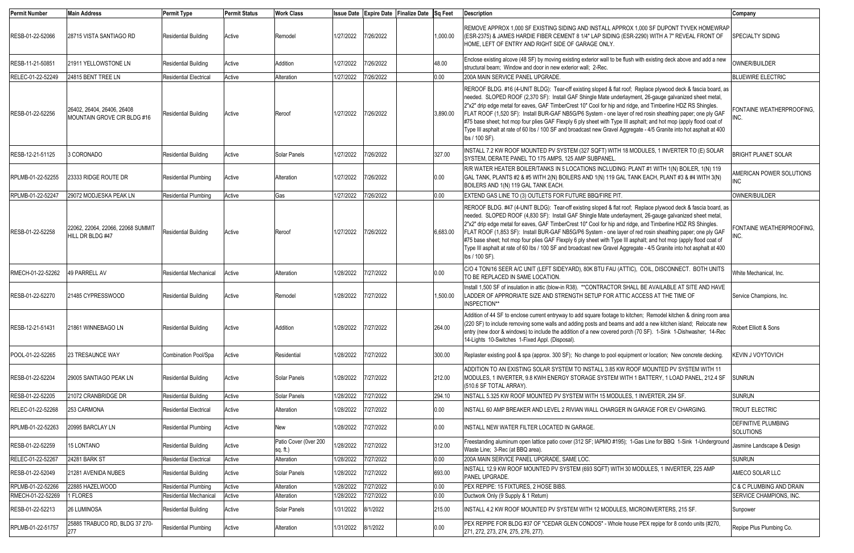| <b>Permit Number</b>                  | <b>Main Address</b>                                       | <b>Permit Type</b>                                           | <b>Permit Status</b> | <b>Work Class</b>                 |                        |                       | Issue Date Expire Date Finalize Date Sq Feet |                | <b>Description</b>                                                                                                                                                                                                                                                                                                                                                                                                                                                                                                                                                                                                                                                                                                     | Company                                 |
|---------------------------------------|-----------------------------------------------------------|--------------------------------------------------------------|----------------------|-----------------------------------|------------------------|-----------------------|----------------------------------------------|----------------|------------------------------------------------------------------------------------------------------------------------------------------------------------------------------------------------------------------------------------------------------------------------------------------------------------------------------------------------------------------------------------------------------------------------------------------------------------------------------------------------------------------------------------------------------------------------------------------------------------------------------------------------------------------------------------------------------------------------|-----------------------------------------|
| RESB-01-22-52066                      | 28715 VISTA SANTIAGO RD                                   | <b>Residential Building</b>                                  | Active               | Remodel                           | 1/27/2022              | 7/26/2022             |                                              | 1,000.00       | REMOVE APPROX 1,000 SF EXISTING SIDING AND INSTALL APPROX 1,000 SF DUPONT TYVEK HOMEWRAP<br>(ESR-2375) & JAMES HARDIE FIBER CEMENT 8 1/4" LAP SIDING (ESR-2290) WITH A 7" REVEAL FRONT OF<br>HOME, LEFT OF ENTRY AND RIGHT SIDE OF GARAGE ONLY.                                                                                                                                                                                                                                                                                                                                                                                                                                                                        | <b>SPECIALTY SIDING</b>                 |
| RESB-11-21-50851                      | 21911 YELLOWSTONE LN                                      | <b>Residential Building</b>                                  | Active               | Addition                          | 1/27/2022              | 7/26/2022             |                                              | 48.00          | Enclose existing alcove (48 SF) by moving existing exterior wall to be flush with existing deck above and add a new<br>structural beam; Window and door in new exterior wall; 2-Rec.                                                                                                                                                                                                                                                                                                                                                                                                                                                                                                                                   | OWNER/BUILDER                           |
| RELEC-01-22-52249                     | 24815 BENT TREE LN                                        | <b>Residential Electrical</b>                                | Active               | Alteration                        | 1/27/2022              | 7/26/2022             |                                              | 0.00           | 200A MAIN SERVICE PANEL UPGRADE.                                                                                                                                                                                                                                                                                                                                                                                                                                                                                                                                                                                                                                                                                       | <b>BLUEWIRE ELECTRIC</b>                |
| RESB-01-22-52256                      | 26402, 26404, 26406, 26408<br>MOUNTAIN GROVE CIR BLDG #16 | <b>Residential Building</b>                                  | Active               | Reroof                            | 1/27/2022              | 7/26/2022             |                                              | 3,890.00       | REROOF BLDG. #16 (4-UNIT BLDG): Tear-off existing sloped & flat roof; Replace plywood deck & fascia board, as<br>needed. SLOPED ROOF (2,370 SF): Install GAF Shingle Mate underlayment, 26-gauge galvanized sheet metal<br>2"x2" drip edge metal for eaves, GAF TimberCrest 10" Cool for hip and ridge, and Timberline HDZ RS Shingles.<br>FLAT ROOF (1,520 SF): Install BUR-GAF NB5G/P6 System - one layer of red rosin sheathing paper; one ply GAF<br>#75 base sheet; hot mop four plies GAF Flexply 6 ply sheet with Type III asphalt; and hot mop (apply flood coat of<br>Type III asphalt at rate of 60 lbs / 100 SF and broadcast new Gravel Aggregate - 4/5 Granite into hot asphalt at 400<br>lbs / 100 SF).  | FONTAINE WEATHERPROOFING,               |
| RESB-12-21-51125                      | 3 CORONADO                                                | <b>Residential Building</b>                                  | Active               | Solar Panels                      | 1/27/2022              | 7/26/2022             |                                              | 327.00         | INSTALL 7.2 KW ROOF MOUNTED PV SYSTEM (327 SQFT) WITH 18 MODULES, 1 INVERTER TO (E) SOLAR<br>SYSTEM, DERATE PANEL TO 175 AMPS, 125 AMP SUBPANEL                                                                                                                                                                                                                                                                                                                                                                                                                                                                                                                                                                        | <b>BRIGHT PLANET SOLAR</b>              |
| RPLMB-01-22-52255                     | 23333 RIDGE ROUTE DR                                      | <b>Residential Plumbing</b>                                  | Active               | Alteration                        | 1/27/2022              | 7/26/2022             |                                              | 0.00           | R/R WATER HEATER BOILER/TANKS IN 5 LOCATIONS INCLUDING: PLANT #1 WITH 1(N) BOILER, 1(N) 119<br>GAL TANK, PLANTS #2 & #5 WITH 2(N) BOILERS AND 1(N) 119 GAL TANK EACH, PLANT #3 & #4 WITH 3(N)<br>BOILERS AND 1(N) 119 GAL TANK EACH.                                                                                                                                                                                                                                                                                                                                                                                                                                                                                   | AMERICAN POWER SOLUTIONS<br><b>INC</b>  |
| RPLMB-01-22-52247                     | 29072 MODJESKA PEAK LN                                    | <b>Residential Plumbing</b>                                  | Active               | Gas                               | 1/27/2022              | 7/26/2022             |                                              | 0.00           | EXTEND GAS LINE TO (3) OUTLETS FOR FUTURE BBQ/FIRE PIT.                                                                                                                                                                                                                                                                                                                                                                                                                                                                                                                                                                                                                                                                | OWNER/BUILDER                           |
| RESB-01-22-52258                      | 22062, 22064, 22066, 22068 SUMMIT<br>HILL DR BLDG #47     | <b>Residential Building</b>                                  | Active               | Reroof                            | 1/27/2022              | 7/26/2022             |                                              | 6,683.00       | REROOF BLDG. #47 (4-UNIT BLDG): Tear-off existing sloped & flat roof; Replace plywood deck & fascia board, as<br>needed. SLOPED ROOF (4,830 SF): Install GAF Shingle Mate underlayment, 26-gauge galvanized sheet metal,<br>2"x2" drip edge metal for eaves, GAF TimberCrest 10" Cool for hip and ridge, and Timberline HDZ RS Shingles.<br>FLAT ROOF (1,853 SF): Install BUR-GAF NB5G/P6 System - one layer of red rosin sheathing paper; one ply GAF<br>#75 base sheet; hot mop four plies GAF Flexply 6 ply sheet with Type III asphalt; and hot mop (apply flood coat of<br>Type III asphalt at rate of 60 lbs / 100 SF and broadcast new Gravel Aggregate - 4/5 Granite into hot asphalt at 400<br>lbs / 100 SF). | FONTAINE WEATHERPROOFING,<br>INC.       |
| RMECH-01-22-52262                     | <b>49 PARRELL AV</b>                                      | Residential Mechanical                                       | Active               | Alteration                        | 1/28/2022              | 7/27/2022             |                                              | 0.00           | C/O 4 TON/16 SEER A/C UNIT (LEFT SIDEYARD), 80K BTU FAU (ATTIC), COIL, DISCONNECT. BOTH UNITS<br>TO BE REPLACED IN SAME LOCATION.                                                                                                                                                                                                                                                                                                                                                                                                                                                                                                                                                                                      | White Mechanical, Inc.                  |
| RESB-01-22-52270                      | 21485 CYPRESSWOOD                                         | <b>Residential Building</b>                                  | Active               | Remodel                           | 1/28/2022              | 7/27/2022             |                                              | 1,500.00       | Install 1,500 SF of insulation in attic (blow-in R38). **CONTRACTOR SHALL BE AVAILABLE AT SITE AND HAVE<br>LADDER OF APPRORIATE SIZE AND STRENGTH SETUP FOR ATTIC ACCESS AT THE TIME OF<br>INSPECTION**                                                                                                                                                                                                                                                                                                                                                                                                                                                                                                                | Service Champions, Inc.                 |
| RESB-12-21-51431                      | 21861 WINNEBAGO LN                                        | <b>Residential Building</b>                                  | Active               | Addition                          | 1/28/2022              | 7/27/2022             |                                              | 264.00         | Addition of 44 SF to enclose current entryway to add square footage to kitchen; Remodel kitchen & dining room area<br>(220 SF) to include removing some walls and adding posts and beams and add a new kitchen island; Relocate new<br>entry (new door & windows) to include the addition of a new covered porch (70 SF). 1-Sink 1-Dishwasher; 14-Rec<br>14-Lights 10-Switches 1-Fixed Appl. (Disposal).                                                                                                                                                                                                                                                                                                               | Robert Elliott & Sons                   |
| POOL-01-22-52265                      | 23 TRESAUNCE WAY                                          | Combination Pool/Spa                                         | Active               | Residential                       | 1/28/2022              | 7/27/2022             |                                              | 300.00         | Replaster existing pool & spa (approx. 300 SF); No change to pool equipment or location; New concrete decking.                                                                                                                                                                                                                                                                                                                                                                                                                                                                                                                                                                                                         | <b>KEVIN J VOYTOVICH</b>                |
| RESB-01-22-52204                      | 29005 SANTIAGO PEAK LN                                    | <b>Residential Building</b>                                  | Active               | Solar Panels                      | 1/28/2022              | 7/27/2022             |                                              | 212.00         | ADDITION TO AN EXISTING SOLAR SYSTEM TO INSTALL 3.85 KW ROOF MOUNTED PV SYSTEM WITH 11<br>MODULES, 1 INVERTER, 9.8 KWH ENERGY STORAGE SYSTEM WITH 1 BATTERY, 1 LOAD PANEL, 212.4 SF<br>(510.6 SF TOTAL ARRAY).                                                                                                                                                                                                                                                                                                                                                                                                                                                                                                         | <b>SUNRUN</b>                           |
| RESB-01-22-52205                      | 21072 CRANBRIDGE DR                                       | <b>Residential Building</b>                                  | Active               | Solar Panels                      | 1/28/2022              | 7/27/2022             |                                              | 294.10         | INSTALL 5.325 KW ROOF MOUNTED PV SYSTEM WITH 15 MODULES, 1 INVERTER, 294 SF.                                                                                                                                                                                                                                                                                                                                                                                                                                                                                                                                                                                                                                           | <b>SUNRUN</b>                           |
| RELEC-01-22-52268                     | 253 CARMONA                                               | <b>Residential Electrical</b>                                | Active               | Alteration                        | 1/28/2022              | 7/27/2022             |                                              | 0.00           | INSTALL 60 AMP BREAKER AND LEVEL 2 RIVIAN WALL CHARGER IN GARAGE FOR EV CHARGING.                                                                                                                                                                                                                                                                                                                                                                                                                                                                                                                                                                                                                                      | <b>TROUT ELECTRIC</b>                   |
| RPLMB-01-22-52263                     | 20995 BARCLAY LN                                          | <b>Residential Plumbing</b>                                  | Active               | New                               | 1/28/2022              | 7/27/2022             |                                              | 0.00           | INSTALL NEW WATER FILTER LOCATED IN GARAGE.                                                                                                                                                                                                                                                                                                                                                                                                                                                                                                                                                                                                                                                                            | <b>DEFINITIVE PLUMBING</b><br>SOLUTIONS |
| RESB-01-22-52259                      | <b>15 LONTANO</b>                                         | <b>Residential Building</b>                                  | Active               | Patio Cover (0ver 200<br>sq. ft.) | 1/28/2022              | 7/27/2022             |                                              | 312.00         | Freestanding aluminum open lattice patio cover (312 SF; IAPMO #195); 1-Gas Line for BBQ 1-Sink 1-Underground<br>Waste Line; 3-Rec (at BBQ area).                                                                                                                                                                                                                                                                                                                                                                                                                                                                                                                                                                       | Jasmine Landscape & Design              |
| RELEC-01-22-52267                     | 24281 BARK ST                                             | <b>Residential Electrical</b>                                | Active               | Alteration                        | 1/28/2022              | 7/27/2022             |                                              | 0.00           | 200A MAIN SERVICE PANEL UPGRADE, SAME LOC.                                                                                                                                                                                                                                                                                                                                                                                                                                                                                                                                                                                                                                                                             | <b>SUNRUN</b>                           |
| RESB-01-22-52049                      | 21281 AVENIDA NUBES                                       | <b>Residential Building</b>                                  | Active               | Solar Panels                      | 1/28/2022              | 7/27/2022             |                                              | 693.00         | INSTALL 12.9 KW ROOF MOUNTED PV SYSTEM (693 SQFT) WITH 30 MODULES, 1 INVERTER, 225 AMP<br>PANEL UPGRADE.                                                                                                                                                                                                                                                                                                                                                                                                                                                                                                                                                                                                               | AMECO SOLAR LLC                         |
| RPLMB-01-22-52266                     | 22885 HAZELWOOD                                           | <b>Residential Plumbing</b>                                  | Active               | Alteration                        | 1/28/2022              | 7/27/2022             |                                              | 0.00           | PEX REPIPE: 15 FIXTURES, 2 HOSE BIBS.                                                                                                                                                                                                                                                                                                                                                                                                                                                                                                                                                                                                                                                                                  | C & C PLUMBING AND DRAIN                |
| RMECH-01-22-52269<br>RESB-01-22-52213 | 1 FLORES<br><b>26 LUMINOSA</b>                            | <b>Residential Mechanical</b><br><b>Residential Building</b> | Active<br>Active     | Alteration<br>Solar Panels        | 1/28/2022<br>1/31/2022 | 7/27/2022<br>8/1/2022 |                                              | 0.00<br>215.00 | Ductwork Only (9 Supply & 1 Return)<br>INSTALL 4.2 KW ROOF MOUNTED PV SYSTEM WITH 12 MODULES, MICROINVERTERS, 215 SF.                                                                                                                                                                                                                                                                                                                                                                                                                                                                                                                                                                                                  | SERVICE CHAMPIONS, INC.<br>Sunpower     |
|                                       |                                                           |                                                              |                      |                                   |                        |                       |                                              |                |                                                                                                                                                                                                                                                                                                                                                                                                                                                                                                                                                                                                                                                                                                                        |                                         |
| RPLMB-01-22-51757                     | 25885 TRABUCO RD, BLDG 37 270-<br>277                     | Residential Plumbing                                         | Active               | Alteration                        | 1/31/2022              | 8/1/2022              |                                              | 0.00           | PEX REPIPE FOR BLDG #37 OF "CEDAR GLEN CONDOS" - Whole house PEX repipe for 8 condo units (#270,<br>271, 272, 273, 274, 275, 276, 277).                                                                                                                                                                                                                                                                                                                                                                                                                                                                                                                                                                                | Repipe Plus Plumbing Co.                |